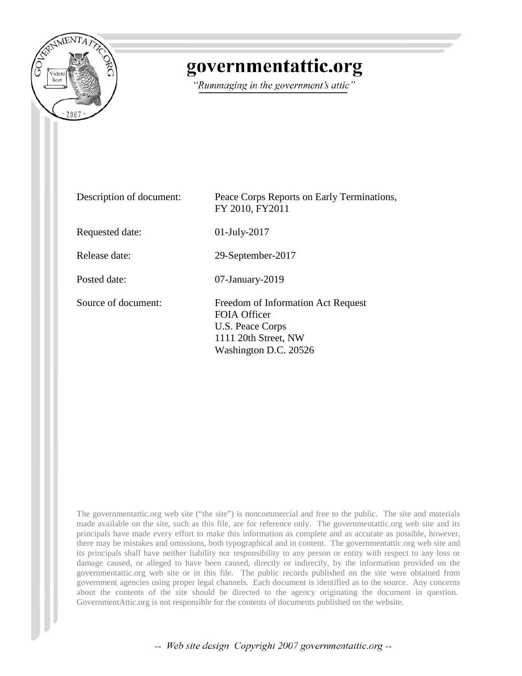

# governmentattic.org

"Rummaging in the government's attic"

| Description of document: | Peace Corps Reports on Early Terminations,<br>FY 2010, FY2011                                                           |
|--------------------------|-------------------------------------------------------------------------------------------------------------------------|
| Requested date:          | $01$ -July-2017                                                                                                         |
| Release date:            | 29-September-2017                                                                                                       |
| Posted date:             | $07$ -January- $2019$                                                                                                   |
| Source of document:      | Freedom of Information Act Request<br>FOIA Officer<br>U.S. Peace Corps<br>1111 20th Street, NW<br>Washington D.C. 20526 |

The governmentattic.org web site ("the site") is noncommercial and free to the public. The site and materials made available on the site, such as this file, are for reference only. The governmentattic.org web site and its principals have made every effort to make this information as complete and as accurate as possible, however, there may be mistakes and omissions, both typographical and in content. The governmentattic.org web site and its principals shall have neither liability nor responsibility to any person or entity with respect to any loss or damage caused, or alleged to have been caused, directly or indirectly, by the information provided on the governmentattic.org web site or in this file. The public records published on the site were obtained from government agencies using proper legal channels. Each document is identified as to the source. Any concerns about the contents of the site should be directed to the agency originating the document in question. GovernmentAttic.org is not responsible for the contents of documents published on the website.

-- Web site design Copyright 2007 governmentattic.org --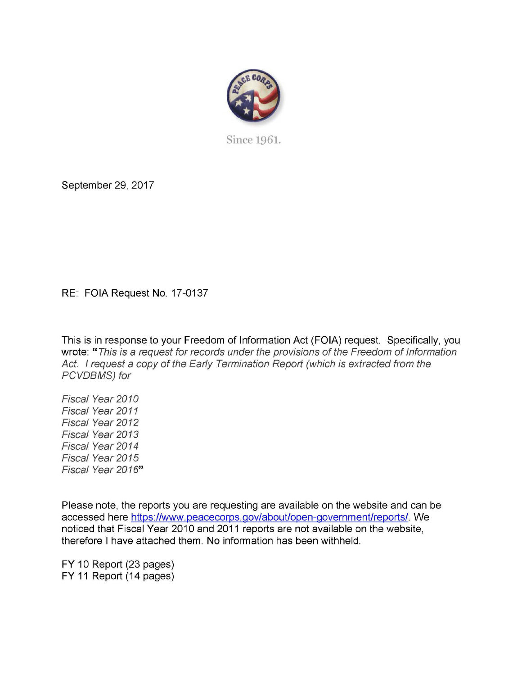

Since 1961.

September 29, 2017

RE: FOIA Request No. 17-0137

This is in response to your Freedom of Information Act (FOIA) request. Specifically, you wrote: " This is a request for records under the provisions of the Freedom of Information Act. I request a copy of the Early Termination Report (which is extracted from the PCVDBMS) for

Fiscal Year 2010 Fiscal Year 2011 Fiscal Year 2012 Fiscal Year 2013 Fiscal Year 2014 Fiscal Year 2015 Fiscal Year 2016"

Please note, the reports you are requesting are available on the website and can be accessed here https://www.peacecorps.gov/about/open-government/reports/. We noticed that Fiscal Year 2010 and 2011 reports are not available on the website, therefore I have attached them. No information has been withheld.

FY 10 Report (23 pages) FY 11 Report (14 pages)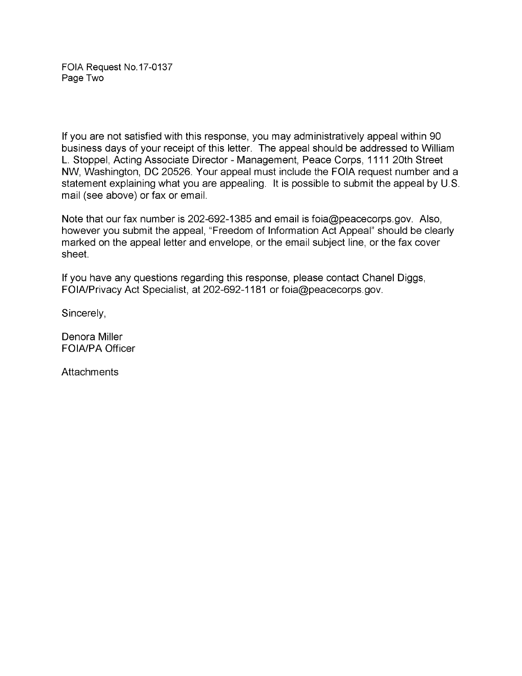FOIA Request No.17-0137 Page Two

If you are not satisfied with this response, you may administratively appeal within 90 business days of your receipt of this letter. The appeal should be addressed to William L. Stoppel, Acting Associate Director - Management, Peace Corps, 1111 20th Street NW, Washington, DC 20526. Your appeal must include the FOIA request number and a statement explaining what you are appealing. It is possible to submit the appeal by U.S. mail (see above) or fax or email.

Note that our fax number is 202-692-1385 and email is foia@peacecorps.gov. Also, however you submit the appeal, "Freedom of Information Act Appeal" should be clearly marked on the appeal letter and envelope, or the email subject line, or the fax cover sheet.

If you have any questions regarding this response, please contact Chanel Diggs, FOIA/Privacy Act Specialist, at 202-692-1181 or foia@peacecorps.gov.

Sincerely,

Denora Miller FOIA/PA Officer

**Attachments**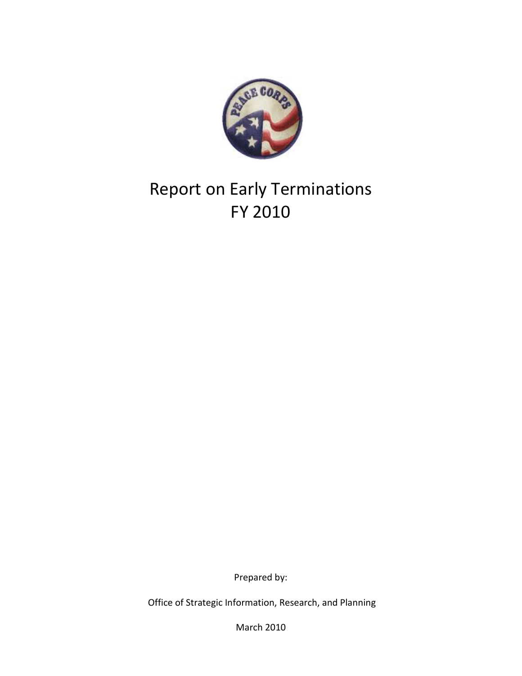

# Report on Early Terminations FY 2010

Prepared by:

Office of Strategic Information, Research, and Planning

March 2010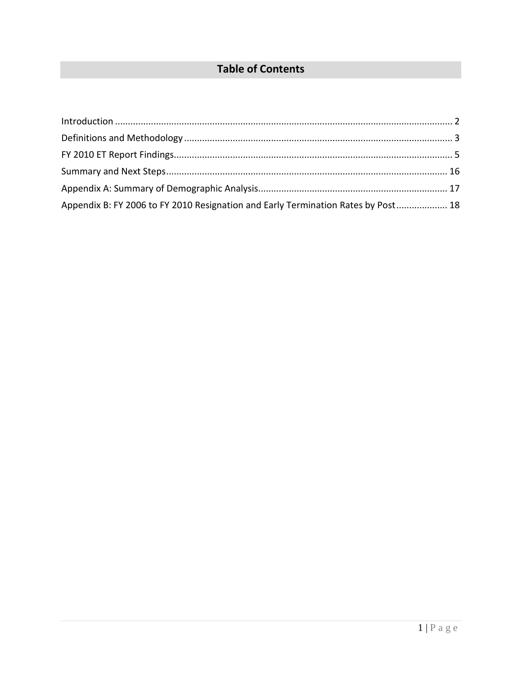## **Table of Contents**

<span id="page-4-0"></span>

| Appendix B: FY 2006 to FY 2010 Resignation and Early Termination Rates by Post 18 |  |
|-----------------------------------------------------------------------------------|--|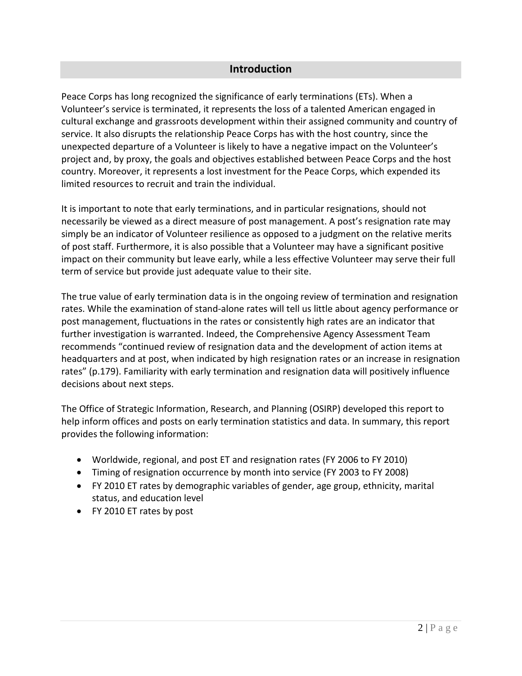### **Introduction**

Peace Corps has long recognized the significance of early terminations (ETs). When a Volunteer's service is terminated, it represents the loss of a talented American engaged in cultural exchange and grassroots development within their assigned community and country of service. It also disrupts the relationship Peace Corps has with the host country, since the unexpected departure of a Volunteer is likely to have a negative impact on the Volunteer's project and, by proxy, the goals and objectives established between Peace Corps and the host country. Moreover, it represents a lost investment for the Peace Corps, which expended its limited resources to recruit and train the individual.

It is important to note that early terminations, and in particular resignations, should not necessarily be viewed as a direct measure of post management. A post's resignation rate may simply be an indicator of Volunteer resilience as opposed to a judgment on the relative merits of post staff. Furthermore, it is also possible that a Volunteer may have a significant positive impact on their community but leave early, while a less effective Volunteer may serve their full term of service but provide just adequate value to their site.

The true value of early termination data is in the ongoing review of termination and resignation rates. While the examination of stand-alone rates will tell us little about agency performance or post management, fluctuations in the rates or consistently high rates are an indicator that further investigation is warranted. Indeed, the Comprehensive Agency Assessment Team recommends "continued review of resignation data and the development of action items at headquarters and at post, when indicated by high resignation rates or an increase in resignation rates" (p.179). Familiarity with early termination and resignation data will positively influence decisions about next steps.

The Office of Strategic Information, Research, and Planning (OSIRP) developed this report to help inform offices and posts on early termination statistics and data. In summary, this report provides the following information:

- Worldwide, regional, and post ET and resignation rates (FY 2006 to FY 2010)
- Timing of resignation occurrence by month into service (FY 2003 to FY 2008)
- FY 2010 ET rates by demographic variables of gender, age group, ethnicity, marital status, and education level
- FY 2010 ET rates by post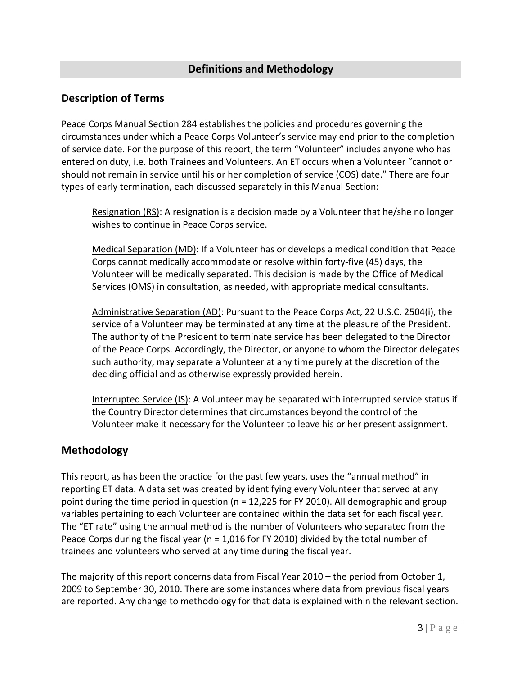## **Definitions and Methodology**

## <span id="page-6-0"></span>**Description of Terms**

Peace Corps Manual Section 284 establishes the policies and procedures governing the circumstances under which a Peace Corps Volunteer's service may end prior to the completion of service date. For the purpose of this report, the term "Volunteer" includes anyone who has entered on duty, i.e. both Trainees and Volunteers. An ET occurs when a Volunteer "cannot or should not remain in service until his or her completion of service (COS) date." There are four types of early termination, each discussed separately in this Manual Section:

Resignation (RS): A resignation is a decision made by a Volunteer that he/she no longer wishes to continue in Peace Corps service.

Medical Separation (MD): If a Volunteer has or develops a medical condition that Peace Corps cannot medically accommodate or resolve within forty-five (45) days, the Volunteer will be medically separated. This decision is made by the Office of Medical Services (OMS) in consultation, as needed, with appropriate medical consultants.

Administrative Separation (AD): Pursuant to the Peace Corps Act, 22 U.S.C. 2504(i), the service of a Volunteer may be terminated at any time at the pleasure of the President. The authority of the President to terminate service has been delegated to the Director of the Peace Corps. Accordingly, the Director, or anyone to whom the Director delegates such authority, may separate a Volunteer at any time purely at the discretion of the deciding official and as otherwise expressly provided herein.

Interrupted Service (IS): A Volunteer may be separated with interrupted service status if the Country Director determines that circumstances beyond the control of the Volunteer make it necessary for the Volunteer to leave his or her present assignment.

## **Methodology**

This report, as has been the practice for the past few years, uses the "annual method" in reporting ET data. A data set was created by identifying every Volunteer that served at any point during the time period in question (n = 12,225 for FY 2010). All demographic and group variables pertaining to each Volunteer are contained within the data set for each fiscal year. The "ET rate" using the annual method is the number of Volunteers who separated from the Peace Corps during the fiscal year (n = 1,016 for FY 2010) divided by the total number of trainees and volunteers who served at any time during the fiscal year.

The majority of this report concerns data from Fiscal Year 2010 – the period from October 1, 2009 to September 30, 2010. There are some instances where data from previous fiscal years are reported. Any change to methodology for that data is explained within the relevant section.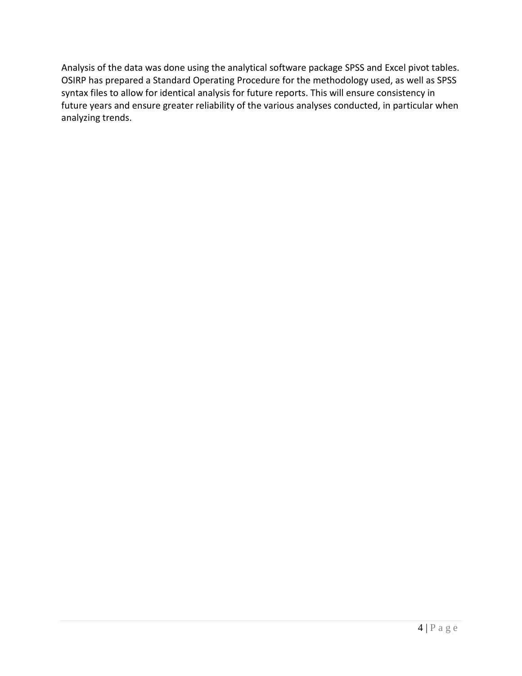Analysis of the data was done using the analytical software package SPSS and Excel pivot tables. OSIRP has prepared a Standard Operating Procedure for the methodology used, as well as SPSS syntax files to allow for identical analysis for future reports. This will ensure consistency in future years and ensure greater reliability of the various analyses conducted, in particular when analyzing trends.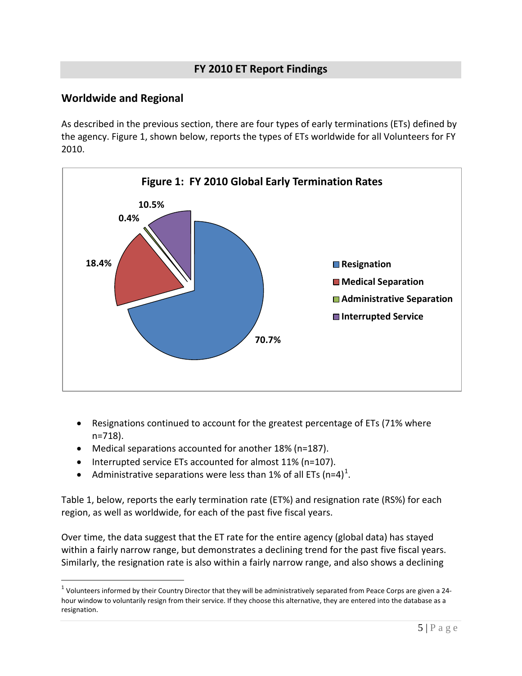## **FY 2010 ET Report Findings**

## <span id="page-8-0"></span>**Worldwide and Regional**

As described in the previous section, there are four types of early terminations (ETs) defined by the agency. Figure 1, shown below, reports the types of ETs worldwide for all Volunteers for FY 2010.



- Resignations continued to account for the greatest percentage of ETs (71% where n=718).
- Medical separations accounted for another 18% (n=187).
- Interrupted service ETs accounted for almost 11% (n=107).
- Administrative separations were less than [1](#page-8-1)% of all ETs  $(n=4)^1$ .

Table 1, below, reports the early termination rate (ET%) and resignation rate (RS%) for each region, as well as worldwide, for each of the past five fiscal years.

Over time, the data suggest that the ET rate for the entire agency (global data) has stayed within a fairly narrow range, but demonstrates a declining trend for the past five fiscal years. Similarly, the resignation rate is also within a fairly narrow range, and also shows a declining

<span id="page-8-1"></span> $1$  Volunteers informed by their Country Director that they will be administratively separated from Peace Corps are given a 24hour window to voluntarily resign from their service. If they choose this alternative, they are entered into the database as a resignation.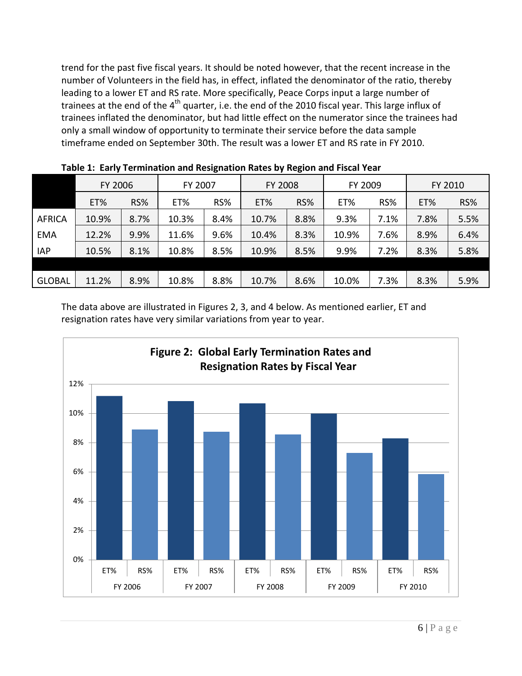trend for the past five fiscal years. It should be noted however, that the recent increase in the number of Volunteers in the field has, in effect, inflated the denominator of the ratio, thereby leading to a lower ET and RS rate. More specifically, Peace Corps input a large number of trainees at the end of the 4<sup>th</sup> quarter, i.e. the end of the 2010 fiscal year. This large influx of trainees inflated the denominator, but had little effect on the numerator since the trainees had only a small window of opportunity to terminate their service before the data sample timeframe ended on September 30th. The result was a lower ET and RS rate in FY 2010.

|               | <b>TOWIC 41 EMITY TULLIMATION MIN NUOINHATUR INATUR RY INSNIVILMIN I ISBN TURI</b> |      |         |      |                |      |         |      |         |      |
|---------------|------------------------------------------------------------------------------------|------|---------|------|----------------|------|---------|------|---------|------|
|               | FY 2006                                                                            |      | FY 2007 |      | <b>FY 2008</b> |      | FY 2009 |      | FY 2010 |      |
|               | ET%                                                                                | RS%  | ET%     | RS%  | ET%            | RS%  | ET%     | RS%  | ET%     | RS%  |
| <b>AFRICA</b> | 10.9%                                                                              | 8.7% | 10.3%   | 8.4% | 10.7%          | 8.8% | 9.3%    | 7.1% | 7.8%    | 5.5% |
| <b>EMA</b>    | 12.2%                                                                              | 9.9% | 11.6%   | 9.6% | 10.4%          | 8.3% | 10.9%   | 7.6% | 8.9%    | 6.4% |
| <b>IAP</b>    | 10.5%                                                                              | 8.1% | 10.8%   | 8.5% | 10.9%          | 8.5% | 9.9%    | 7.2% | 8.3%    | 5.8% |
|               |                                                                                    |      |         |      |                |      |         |      |         |      |
| <b>GLOBAL</b> | 11.2%                                                                              | 8.9% | 10.8%   | 8.8% | 10.7%          | 8.6% | 10.0%   | 7.3% | 8.3%    | 5.9% |

**Table 1: Early Termination and Resignation Rates by Region and Fiscal Year**

The data above are illustrated in Figures 2, 3, and 4 below. As mentioned earlier, ET and resignation rates have very similar variations from year to year.

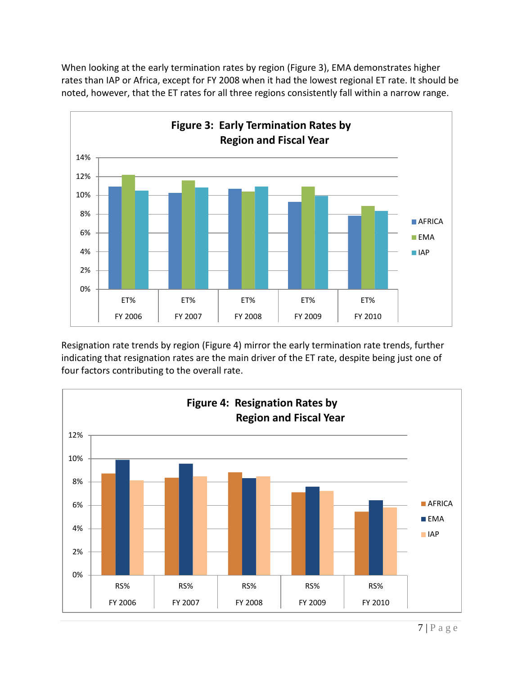When looking at the early termination rates by region (Figure 3), EMA demonstrates higher rates than IAP or Africa, except for FY 2008 when it had the lowest regional ET rate. It should be noted, however, that the ET rates for all three regions consistently fall within a narrow range.



Resignation rate trends by region (Figure 4) mirror the early termination rate trends, further indicating that resignation rates are the main driver of the ET rate, despite being just one of four factors contributing to the overall rate.

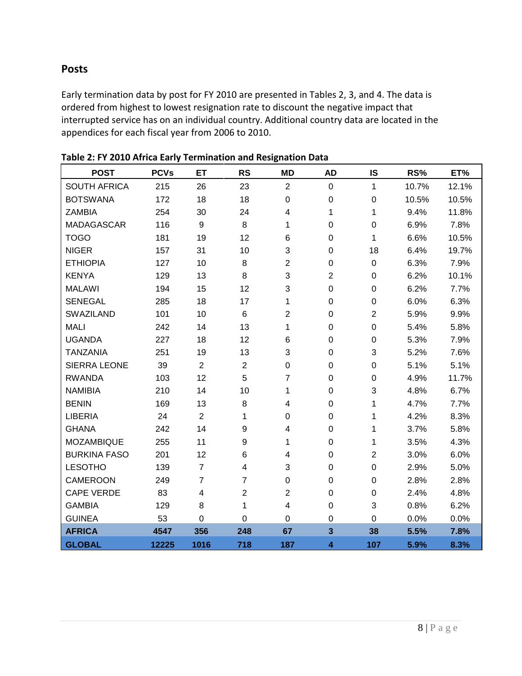## **Posts**

Early termination data by post for FY 2010 are presented in Tables 2, 3, and 4. The data is ordered from highest to lowest resignation rate to discount the negative impact that interrupted service has on an individual country. Additional country data are located in the appendices for each fiscal year from 2006 to 2010.

| <b>POST</b>         | <b>PCVs</b> | ET             | <b>RS</b>      | <b>MD</b>               | <b>AD</b>        | IS             | RS%   | ET%   |
|---------------------|-------------|----------------|----------------|-------------------------|------------------|----------------|-------|-------|
| <b>SOUTH AFRICA</b> | 215         | 26             | 23             | $\overline{2}$          | $\mathbf 0$      | $\mathbf{1}$   | 10.7% | 12.1% |
| <b>BOTSWANA</b>     | 172         | 18             | 18             | 0                       | $\mathbf 0$      | $\mathbf 0$    | 10.5% | 10.5% |
| <b>ZAMBIA</b>       | 254         | 30             | 24             | 4                       | 1                | 1              | 9.4%  | 11.8% |
| <b>MADAGASCAR</b>   | 116         | 9              | 8              | 1                       | $\mathbf 0$      | $\overline{0}$ | 6.9%  | 7.8%  |
| <b>TOGO</b>         | 181         | 19             | 12             | 6                       | 0                | 1              | 6.6%  | 10.5% |
| <b>NIGER</b>        | 157         | 31             | 10             | 3                       | $\boldsymbol{0}$ | 18             | 6.4%  | 19.7% |
| <b>ETHIOPIA</b>     | 127         | 10             | 8              | $\overline{2}$          | $\mathbf 0$      | $\mathbf 0$    | 6.3%  | 7.9%  |
| <b>KENYA</b>        | 129         | 13             | 8              | 3                       | $\overline{c}$   | 0              | 6.2%  | 10.1% |
| <b>MALAWI</b>       | 194         | 15             | 12             | 3                       | $\mathbf 0$      | 0              | 6.2%  | 7.7%  |
| <b>SENEGAL</b>      | 285         | 18             | 17             | 1                       | $\pmb{0}$        | 0              | 6.0%  | 6.3%  |
| SWAZILAND           | 101         | 10             | 6              | $\overline{2}$          | $\pmb{0}$        | $\overline{2}$ | 5.9%  | 9.9%  |
| <b>MALI</b>         | 242         | 14             | 13             | 1                       | $\pmb{0}$        | 0              | 5.4%  | 5.8%  |
| <b>UGANDA</b>       | 227         | 18             | 12             | 6                       | $\pmb{0}$        | $\mathbf 0$    | 5.3%  | 7.9%  |
| <b>TANZANIA</b>     | 251         | 19             | 13             | 3                       | $\mathbf 0$      | 3              | 5.2%  | 7.6%  |
| <b>SIERRA LEONE</b> | 39          | $\overline{2}$ | $\overline{2}$ | $\boldsymbol{0}$        | 0                | 0              | 5.1%  | 5.1%  |
| <b>RWANDA</b>       | 103         | 12             | 5              | $\overline{7}$          | 0                | $\mathbf 0$    | 4.9%  | 11.7% |
| <b>NAMIBIA</b>      | 210         | 14             | 10             | 1                       | $\pmb{0}$        | 3              | 4.8%  | 6.7%  |
| <b>BENIN</b>        | 169         | 13             | 8              | 4                       | $\mathbf 0$      | 1              | 4.7%  | 7.7%  |
| <b>LIBERIA</b>      | 24          | $\overline{2}$ | 1              | $\mathbf 0$             | $\mathbf 0$      | 1              | 4.2%  | 8.3%  |
| <b>GHANA</b>        | 242         | 14             | 9              | 4                       | 0                | 1              | 3.7%  | 5.8%  |
| <b>MOZAMBIQUE</b>   | 255         | 11             | 9              | 1                       | $\pmb{0}$        | 1              | 3.5%  | 4.3%  |
| <b>BURKINA FASO</b> | 201         | 12             | 6              | 4                       | 0                | $\overline{2}$ | 3.0%  | 6.0%  |
| <b>LESOTHO</b>      | 139         | $\overline{7}$ | 4              | 3                       | $\mathbf 0$      | $\mathbf 0$    | 2.9%  | 5.0%  |
| <b>CAMEROON</b>     | 249         | $\overline{7}$ | $\overline{7}$ | $\mathbf 0$             | $\mathbf 0$      | $\mathbf 0$    | 2.8%  | 2.8%  |
| <b>CAPE VERDE</b>   | 83          | 4              | $\overline{2}$ | $\overline{2}$          | $\boldsymbol{0}$ | $\mathbf 0$    | 2.4%  | 4.8%  |
| <b>GAMBIA</b>       | 129         | 8              | 1              | $\overline{\mathbf{4}}$ | 0                | 3              | 0.8%  | 6.2%  |
| <b>GUINEA</b>       | 53          | 0              | 0              | 0                       | $\boldsymbol{0}$ | $\mathbf 0$    | 0.0%  | 0.0%  |
| <b>AFRICA</b>       | 4547        | 356            | 248            | 67                      | $\mathbf{3}$     | 38             | 5.5%  | 7.8%  |
| <b>GLOBAL</b>       | 12225       | 1016           | 718            | 187                     | 4                | 107            | 5.9%  | 8.3%  |

#### **Table 2: FY 2010 Africa Early Termination and Resignation Data**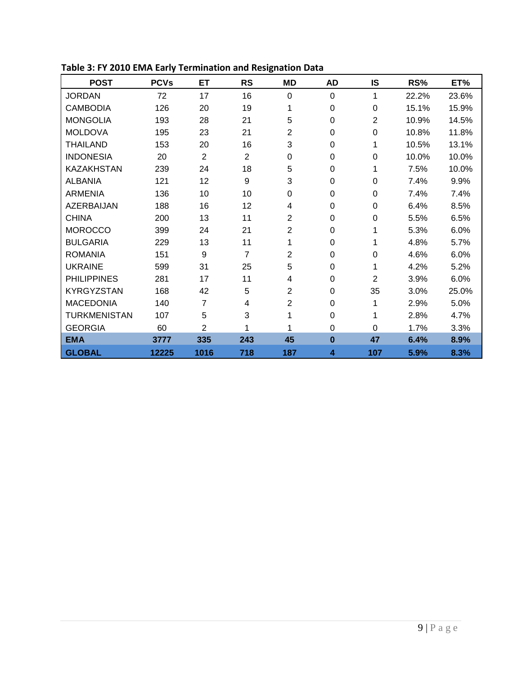| <b>POST</b>         | <b>PCVs</b> | ET             | <b>RS</b>      | <b>MD</b>      | <b>AD</b> | <b>IS</b>      | RS%   | ET%   |
|---------------------|-------------|----------------|----------------|----------------|-----------|----------------|-------|-------|
| <b>JORDAN</b>       | 72          | 17             | 16             | $\Omega$       | 0         | 1              | 22.2% | 23.6% |
| <b>CAMBODIA</b>     | 126         | 20             | 19             | 1              | 0         | $\Omega$       | 15.1% | 15.9% |
| <b>MONGOLIA</b>     | 193         | 28             | 21             | 5              | $\Omega$  | $\overline{2}$ | 10.9% | 14.5% |
| <b>MOLDOVA</b>      | 195         | 23             | 21             | $\overline{2}$ | 0         | $\Omega$       | 10.8% | 11.8% |
| <b>THAILAND</b>     | 153         | 20             | 16             | 3              | 0         | 1              | 10.5% | 13.1% |
| <b>INDONESIA</b>    | 20          | $\overline{2}$ | $\overline{2}$ | 0              | 0         | $\Omega$       | 10.0% | 10.0% |
| <b>KAZAKHSTAN</b>   | 239         | 24             | 18             | 5              | 0         |                | 7.5%  | 10.0% |
| <b>ALBANIA</b>      | 121         | 12             | 9              | 3              | $\Omega$  | $\Omega$       | 7.4%  | 9.9%  |
| <b>ARMENIA</b>      | 136         | 10             | 10             | $\Omega$       | 0         | $\Omega$       | 7.4%  | 7.4%  |
| <b>AZERBAIJAN</b>   | 188         | 16             | 12             | 4              | 0         | $\Omega$       | 6.4%  | 8.5%  |
| <b>CHINA</b>        | 200         | 13             | 11             | $\overline{2}$ | 0         | $\Omega$       | 5.5%  | 6.5%  |
| <b>MOROCCO</b>      | 399         | 24             | 21             | $\overline{2}$ | 0         |                | 5.3%  | 6.0%  |
| <b>BULGARIA</b>     | 229         | 13             | 11             | 1              | $\Omega$  |                | 4.8%  | 5.7%  |
| <b>ROMANIA</b>      | 151         | 9              | 7              | 2              | 0         | 0              | 4.6%  | 6.0%  |
| <b>UKRAINE</b>      | 599         | 31             | 25             | 5              | 0         | 1              | 4.2%  | 5.2%  |
| <b>PHILIPPINES</b>  | 281         | 17             | 11             | 4              | $\Omega$  | $\overline{2}$ | 3.9%  | 6.0%  |
| <b>KYRGYZSTAN</b>   | 168         | 42             | 5              | 2              | 0         | 35             | 3.0%  | 25.0% |
| <b>MACEDONIA</b>    | 140         | 7              | 4              | $\overline{2}$ | 0         | 1              | 2.9%  | 5.0%  |
| <b>TURKMENISTAN</b> | 107         | 5              | 3              | 1              | 0         |                | 2.8%  | 4.7%  |
| <b>GEORGIA</b>      | 60          | $\overline{2}$ | 1              | 1              | 0         | $\Omega$       | 1.7%  | 3.3%  |
| <b>EMA</b>          | 3777        | 335            | 243            | 45             | $\bf{0}$  | 47             | 6.4%  | 8.9%  |
| <b>GLOBAL</b>       | 12225       | 1016           | 718            | 187            | 4         | 107            | 5.9%  | 8.3%  |

**Table 3: FY 2010 EMA Early Termination and Resignation Data**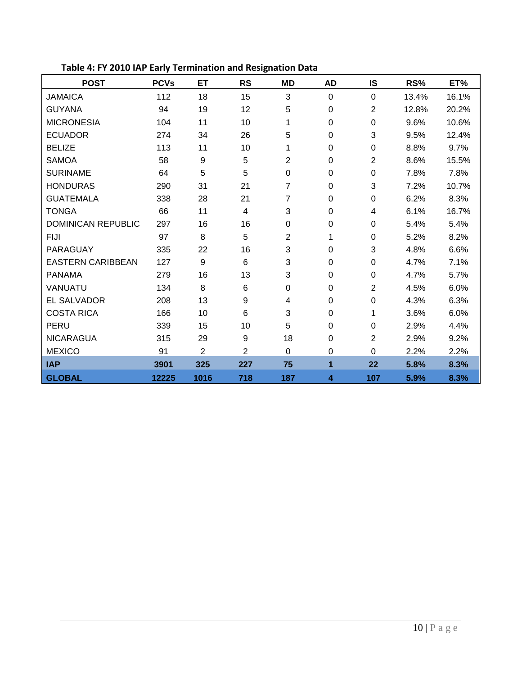| <b>POST</b>               | <b>PCVs</b> | <b>ET</b>      | <b>RS</b>      | <b>MD</b>        | <b>AD</b>      | <b>IS</b>      | RS%   | ET%   |
|---------------------------|-------------|----------------|----------------|------------------|----------------|----------------|-------|-------|
| <b>JAMAICA</b>            | 112         | 18             | 15             | 3                | 0              | $\Omega$       | 13.4% | 16.1% |
| <b>GUYANA</b>             | 94          | 19             | 12             | 5                | 0              | $\overline{2}$ | 12.8% | 20.2% |
| <b>MICRONESIA</b>         | 104         | 11             | 10             | 1                | 0              | 0              | 9.6%  | 10.6% |
| <b>ECUADOR</b>            | 274         | 34             | 26             | 5                | 0              | 3              | 9.5%  | 12.4% |
| <b>BELIZE</b>             | 113         | 11             | 10             | 1                | $\overline{0}$ | 0              | 8.8%  | 9.7%  |
| <b>SAMOA</b>              | 58          | 9              | 5              | $\overline{2}$   | 0              | $\overline{2}$ | 8.6%  | 15.5% |
| <b>SURINAME</b>           | 64          | 5              | 5              | $\mathbf 0$      | $\mathbf 0$    | 0              | 7.8%  | 7.8%  |
| <b>HONDURAS</b>           | 290         | 31             | 21             | $\overline{7}$   | $\overline{0}$ | 3              | 7.2%  | 10.7% |
| <b>GUATEMALA</b>          | 338         | 28             | 21             | 7                | 0              | 0              | 6.2%  | 8.3%  |
| <b>TONGA</b>              | 66          | 11             | 4              | 3                | $\Omega$       | 4              | 6.1%  | 16.7% |
| <b>DOMINICAN REPUBLIC</b> | 297         | 16             | 16             | 0                | 0              | $\Omega$       | 5.4%  | 5.4%  |
| <b>FIJI</b>               | 97          | 8              | 5              | $\overline{2}$   | 1              | $\Omega$       | 5.2%  | 8.2%  |
| PARAGUAY                  | 335         | 22             | 16             | 3                | 0              | 3              | 4.8%  | 6.6%  |
| <b>EASTERN CARIBBEAN</b>  | 127         | 9              | 6              | 3                | 0              | 0              | 4.7%  | 7.1%  |
| <b>PANAMA</b>             | 279         | 16             | 13             | 3                | 0              | $\Omega$       | 4.7%  | 5.7%  |
| VANUATU                   | 134         | 8              | 6              | $\boldsymbol{0}$ | 0              | $\overline{2}$ | 4.5%  | 6.0%  |
| <b>EL SALVADOR</b>        | 208         | 13             | 9              | 4                | 0              | 0              | 4.3%  | 6.3%  |
| <b>COSTA RICA</b>         | 166         | 10             | 6              | 3                | 0              | 1              | 3.6%  | 6.0%  |
| PERU                      | 339         | 15             | 10             | 5                | 0              | 0              | 2.9%  | 4.4%  |
| <b>NICARAGUA</b>          | 315         | 29             | 9              | 18               | 0              | $\overline{2}$ | 2.9%  | 9.2%  |
| <b>MEXICO</b>             | 91          | $\overline{2}$ | $\overline{2}$ | $\mathbf 0$      | $\mathbf 0$    | 0              | 2.2%  | 2.2%  |
| <b>IAP</b>                | 3901        | 325            | 227            | 75               | 1              | 22             | 5.8%  | 8.3%  |
| <b>GLOBAL</b>             | 12225       | 1016           | 718            | 187              | 4              | 107            | 5.9%  | 8.3%  |

**Table 4: FY 2010 IAP Early Termination and Resignation Data**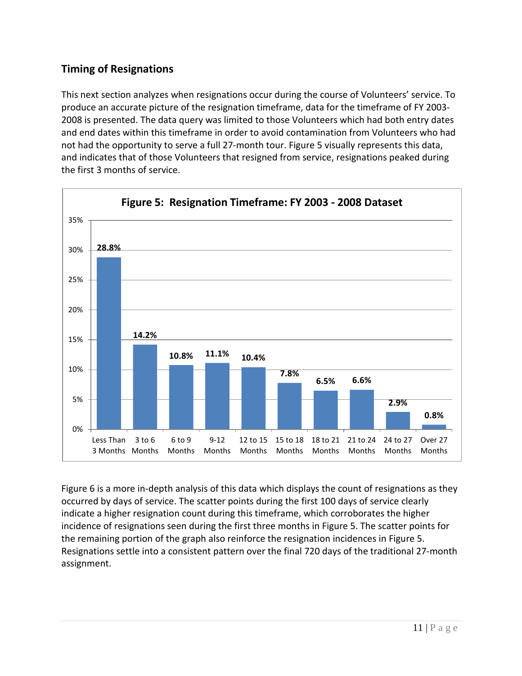## **Timing of Resignations**

This next section analyzes when resignations occur during the course of Volunteers' service. To produce an accurate picture of the resignation timeframe, data for the timeframe of FY 2003- 2008 is presented. The data query was limited to those Volunteers which had both entry dates and end dates within this timeframe in order to avoid contamination from Volunteers who had not had the opportunity to serve a full 27-month tour. Figure 5 visually represents this data, and indicates that of those Volunteers that resigned from service, resignations peaked during the first 3 months of service.



Figure 6 is a more in-depth analysis of this data which displays the count of resignations as they occurred by days of service. The scatter points during the first 100 days of service clearly indicate a higher resignation count during this timeframe, which corroborates the higher incidence of resignations seen during the first three months in Figure 5. The scatter points for the remaining portion of the graph also reinforce the resignation incidences in Figure 5. Resignations settle into a consistent pattern over the final 720 days of the traditional 27-month assignment.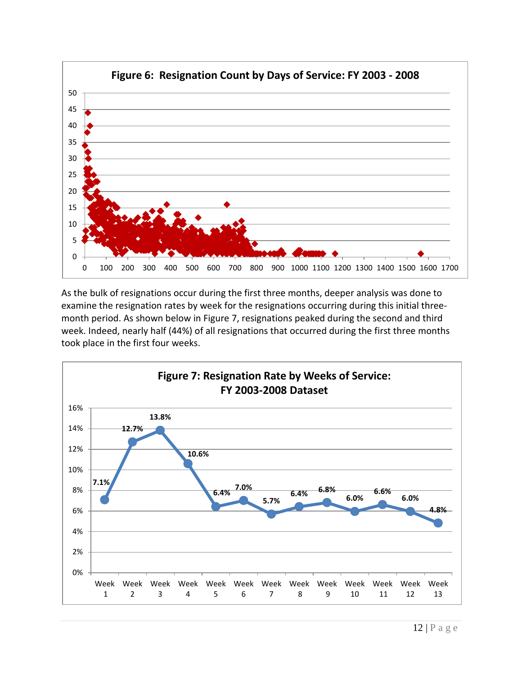

As the bulk of resignations occur during the first three months, deeper analysis was done to examine the resignation rates by week for the resignations occurring during this initial threemonth period. As shown below in Figure 7, resignations peaked during the second and third week. Indeed, nearly half (44%) of all resignations that occurred during the first three months took place in the first four weeks.

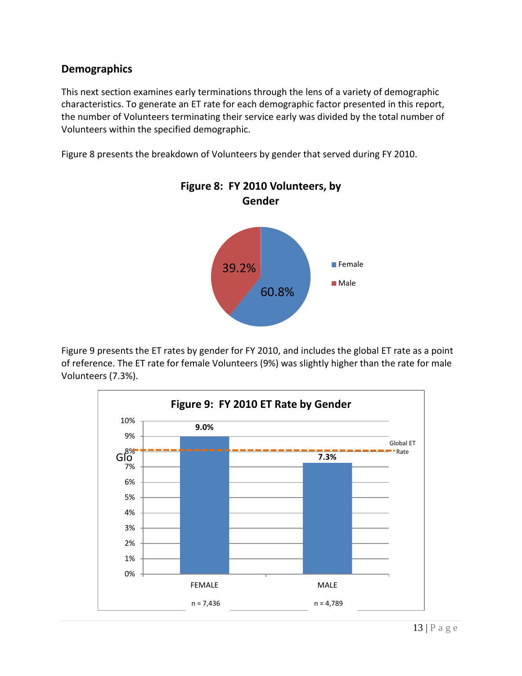## **Demographics**

This next section examines early terminations through the lens of a variety of demographic characteristics. To generate an ET rate for each demographic factor presented in this report, the number of Volunteers terminating their service early was divided by the total number of Volunteers within the specified demographic.

Figure 8 presents the breakdown of Volunteers by gender that served during FY 2010.



Figure 9 presents the ET rates by gender for FY 2010, and includes the global ET rate as a point of reference. The ET rate for female Volunteers (9%) was slightly higher than the rate for male Volunteers (7.3%).

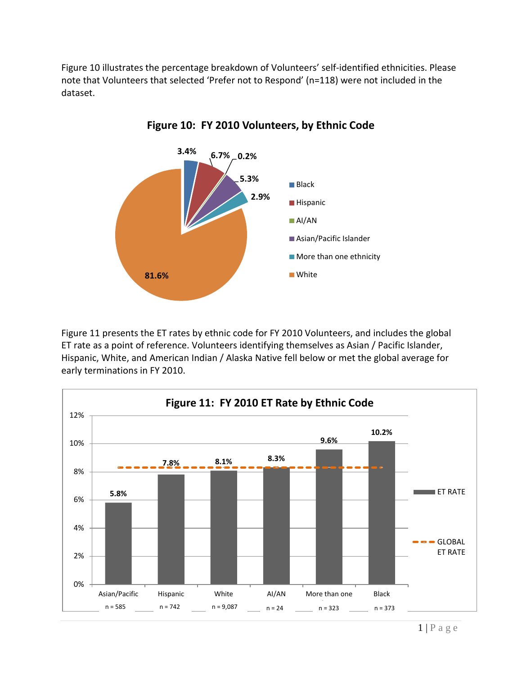Figure 10 illustrates the percentage breakdown of Volunteers' self-identified ethnicities. Please note that Volunteers that selected 'Prefer not to Respond' (n=118) were not included in the dataset.



**Figure 10: FY 2010 Volunteers, by Ethnic Code**

Figure 11 presents the ET rates by ethnic code for FY 2010 Volunteers, and includes the global ET rate as a point of reference. Volunteers identifying themselves as Asian / Pacific Islander, Hispanic, White, and American Indian / Alaska Native fell below or met the global average for early terminations in FY 2010.

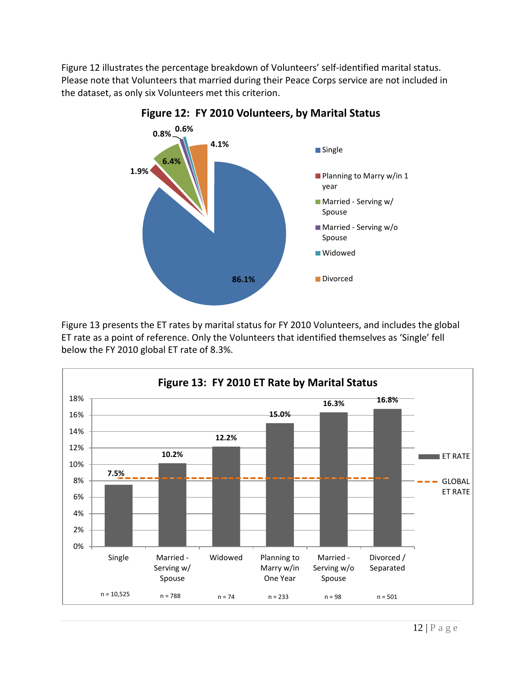Figure 12 illustrates the percentage breakdown of Volunteers' self-identified marital status. Please note that Volunteers that married during their Peace Corps service are not included in the dataset, as only six Volunteers met this criterion.



**Figure 12: FY 2010 Volunteers, by Marital Status**

Figure 13 presents the ET rates by marital status for FY 2010 Volunteers, and includes the global ET rate as a point of reference. Only the Volunteers that identified themselves as 'Single' fell below the FY 2010 global ET rate of 8.3%.

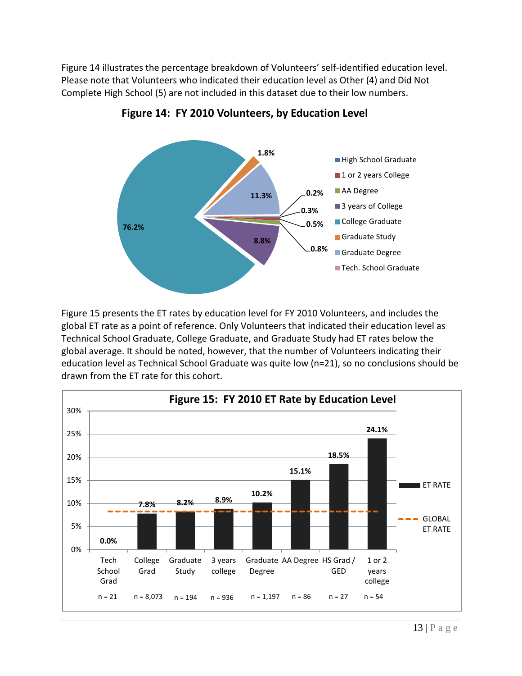Figure 14 illustrates the percentage breakdown of Volunteers' self-identified education level. Please note that Volunteers who indicated their education level as Other (4) and Did Not Complete High School (5) are not included in this dataset due to their low numbers.



**Figure 14: FY 2010 Volunteers, by Education Level**

Figure 15 presents the ET rates by education level for FY 2010 Volunteers, and includes the global ET rate as a point of reference. Only Volunteers that indicated their education level as Technical School Graduate, College Graduate, and Graduate Study had ET rates below the global average. It should be noted, however, that the number of Volunteers indicating their education level as Technical School Graduate was quite low (n=21), so no conclusions should be drawn from the ET rate for this cohort.

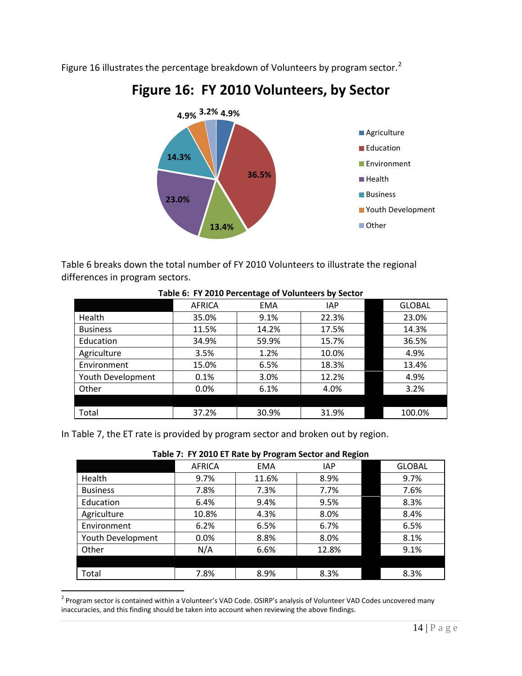Figure 16 illustrates the percentage breakdown of Volunteers by program sector.<sup>[2](#page-20-0)</sup>



## **Figure 16: FY 2010 Volunteers, by Sector**

Table 6 breaks down the total number of FY 2010 Volunteers to illustrate the regional differences in program sectors.

|                   | AFRICA | <b>EMA</b> | <b>IAP</b> | <b>GLOBAL</b> |
|-------------------|--------|------------|------------|---------------|
| Health            | 35.0%  | 9.1%       | 22.3%      | 23.0%         |
| <b>Business</b>   | 11.5%  | 14.2%      | 17.5%      | 14.3%         |
| Education         | 34.9%  | 59.9%      | 15.7%      | 36.5%         |
| Agriculture       | 3.5%   | 1.2%       | 10.0%      | 4.9%          |
| Environment       | 15.0%  | 6.5%       | 18.3%      | 13.4%         |
| Youth Development | 0.1%   | 3.0%       | 12.2%      | 4.9%          |
| Other             | 0.0%   | 6.1%       | 4.0%       | 3.2%          |
|                   |        |            |            |               |
| Total             | 37.2%  | 30.9%      | 31.9%      | 100.0%        |

#### **Table 6: FY 2010 Percentage of Volunteers by Sector**

In Table 7, the ET rate is provided by program sector and broken out by region.

| Table 7: FY 2010 ET Rate by Program Sector and Region |  |
|-------------------------------------------------------|--|
|                                                       |  |

|        |       | -          |               |
|--------|-------|------------|---------------|
| AFRICA | EMA   | <b>IAP</b> | <b>GLOBAL</b> |
| 9.7%   | 11.6% | 8.9%       | 9.7%          |
| 7.8%   | 7.3%  | 7.7%       | 7.6%          |
| 6.4%   | 9.4%  | 9.5%       | 8.3%          |
| 10.8%  | 4.3%  | 8.0%       | 8.4%          |
| 6.2%   | 6.5%  | 6.7%       | 6.5%          |
| 0.0%   | 8.8%  | 8.0%       | 8.1%          |
| N/A    | 6.6%  | 12.8%      | 9.1%          |
|        |       |            |               |
| 7.8%   | 8.9%  | 8.3%       | 8.3%          |
|        |       |            |               |

<span id="page-20-0"></span><sup>&</sup>lt;sup>2</sup> Program sector is contained within a Volunteer's VAD Code. OSIRP's analysis of Volunteer VAD Codes uncovered many inaccuracies, and this finding should be taken into account when reviewing the above findings.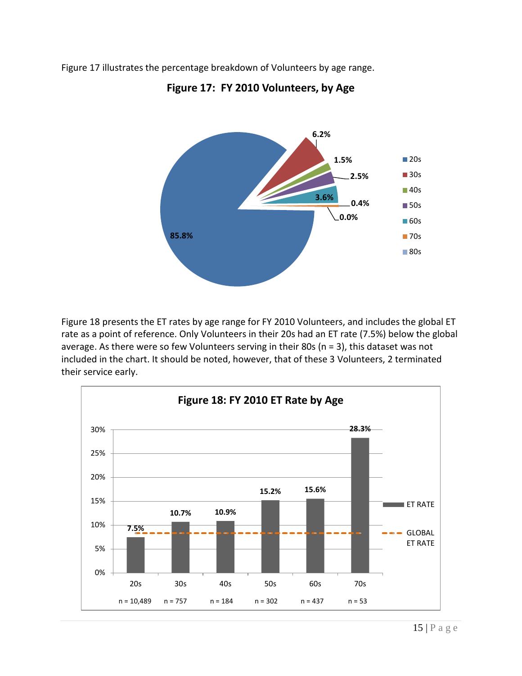Figure 17 illustrates the percentage breakdown of Volunteers by age range.



## **Figure 17: FY 2010 Volunteers, by Age**

Figure 18 presents the ET rates by age range for FY 2010 Volunteers, and includes the global ET rate as a point of reference. Only Volunteers in their 20s had an ET rate (7.5%) below the global average. As there were so few Volunteers serving in their 80s (n = 3), this dataset was not included in the chart. It should be noted, however, that of these 3 Volunteers, 2 terminated their service early.

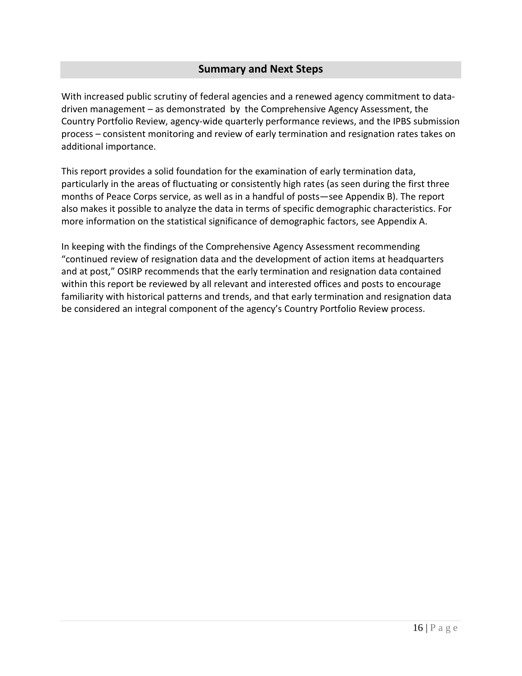### **Summary and Next Steps**

<span id="page-22-0"></span>With increased public scrutiny of federal agencies and a renewed agency commitment to datadriven management – as demonstrated by the Comprehensive Agency Assessment, the Country Portfolio Review, agency-wide quarterly performance reviews, and the IPBS submission process – consistent monitoring and review of early termination and resignation rates takes on additional importance.

This report provides a solid foundation for the examination of early termination data, particularly in the areas of fluctuating or consistently high rates (as seen during the first three months of Peace Corps service, as well as in a handful of posts—see Appendix B). The report also makes it possible to analyze the data in terms of specific demographic characteristics. For more information on the statistical significance of demographic factors, see Appendix A.

In keeping with the findings of the Comprehensive Agency Assessment recommending "continued review of resignation data and the development of action items at headquarters and at post," OSIRP recommends that the early termination and resignation data contained within this report be reviewed by all relevant and interested offices and posts to encourage familiarity with historical patterns and trends, and that early termination and resignation data be considered an integral component of the agency's Country Portfolio Review process.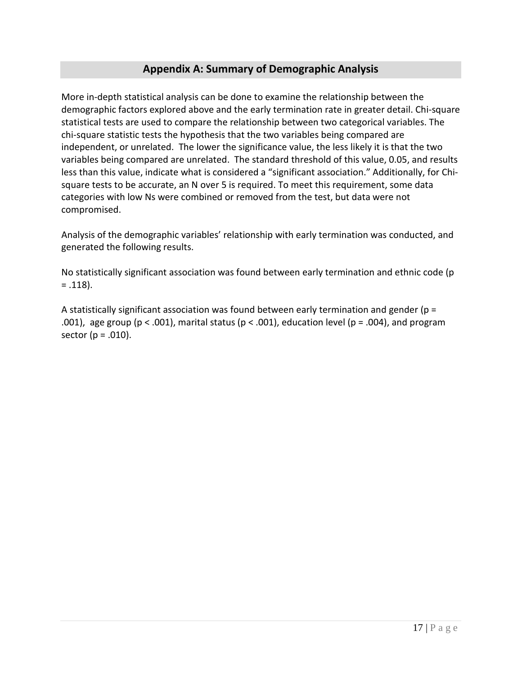## **Appendix A: Summary of Demographic Analysis**

<span id="page-23-0"></span>More in-depth statistical analysis can be done to examine the relationship between the demographic factors explored above and the early termination rate in greater detail. Chi-square statistical tests are used to compare the relationship between two categorical variables. The chi-square statistic tests the hypothesis that the two variables being compared are independent, or unrelated. The lower the significance value, the less likely it is that the two variables being compared are unrelated. The standard threshold of this value, 0.05, and results less than this value, indicate what is considered a "significant association." Additionally, for Chisquare tests to be accurate, an N over 5 is required. To meet this requirement, some data categories with low Ns were combined or removed from the test, but data were not compromised.

Analysis of the demographic variables' relationship with early termination was conducted, and generated the following results.

No statistically significant association was found between early termination and ethnic code (p  $= .118$ ).

A statistically significant association was found between early termination and gender ( $p =$ .001), age group (p < .001), marital status (p < .001), education level (p = .004), and program sector ( $p = .010$ ).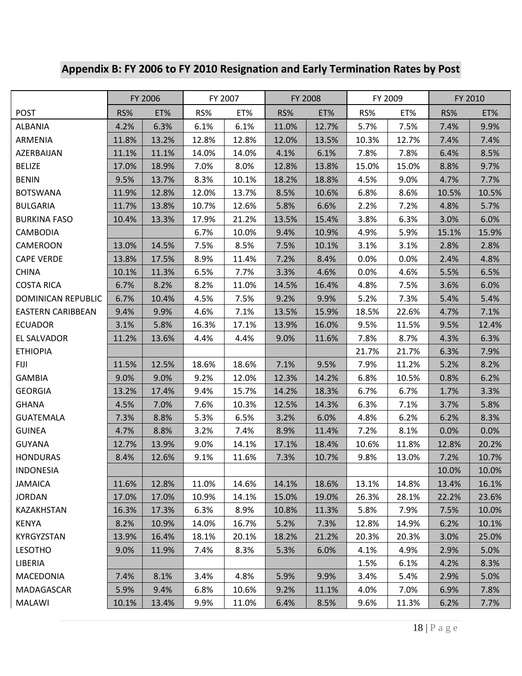## <span id="page-24-0"></span>**Appendix B: FY 2006 to FY 2010 Resignation and Early Termination Rates by Post**

|                           |       | FY 2006 |       | FY 2007 |       | FY 2008 |       | FY 2009 |       | FY 2010 |
|---------------------------|-------|---------|-------|---------|-------|---------|-------|---------|-------|---------|
| <b>POST</b>               | RS%   | ET%     | RS%   | ET%     | RS%   | ET%     | RS%   | ET%     | RS%   | ET%     |
| <b>ALBANIA</b>            | 4.2%  | 6.3%    | 6.1%  | 6.1%    | 11.0% | 12.7%   | 5.7%  | 7.5%    | 7.4%  | 9.9%    |
| ARMENIA                   | 11.8% | 13.2%   | 12.8% | 12.8%   | 12.0% | 13.5%   | 10.3% | 12.7%   | 7.4%  | 7.4%    |
| AZERBAIJAN                | 11.1% | 11.1%   | 14.0% | 14.0%   | 4.1%  | 6.1%    | 7.8%  | 7.8%    | 6.4%  | 8.5%    |
| <b>BELIZE</b>             | 17.0% | 18.9%   | 7.0%  | 8.0%    | 12.8% | 13.8%   | 15.0% | 15.0%   | 8.8%  | 9.7%    |
| <b>BENIN</b>              | 9.5%  | 13.7%   | 8.3%  | 10.1%   | 18.2% | 18.8%   | 4.5%  | 9.0%    | 4.7%  | 7.7%    |
| <b>BOTSWANA</b>           | 11.9% | 12.8%   | 12.0% | 13.7%   | 8.5%  | 10.6%   | 6.8%  | 8.6%    | 10.5% | 10.5%   |
| <b>BULGARIA</b>           | 11.7% | 13.8%   | 10.7% | 12.6%   | 5.8%  | 6.6%    | 2.2%  | 7.2%    | 4.8%  | 5.7%    |
| <b>BURKINA FASO</b>       | 10.4% | 13.3%   | 17.9% | 21.2%   | 13.5% | 15.4%   | 3.8%  | 6.3%    | 3.0%  | 6.0%    |
| <b>CAMBODIA</b>           |       |         | 6.7%  | 10.0%   | 9.4%  | 10.9%   | 4.9%  | 5.9%    | 15.1% | 15.9%   |
| <b>CAMEROON</b>           | 13.0% | 14.5%   | 7.5%  | 8.5%    | 7.5%  | 10.1%   | 3.1%  | 3.1%    | 2.8%  | 2.8%    |
| <b>CAPE VERDE</b>         | 13.8% | 17.5%   | 8.9%  | 11.4%   | 7.2%  | 8.4%    | 0.0%  | 0.0%    | 2.4%  | 4.8%    |
| <b>CHINA</b>              | 10.1% | 11.3%   | 6.5%  | 7.7%    | 3.3%  | 4.6%    | 0.0%  | 4.6%    | 5.5%  | 6.5%    |
| <b>COSTA RICA</b>         | 6.7%  | 8.2%    | 8.2%  | 11.0%   | 14.5% | 16.4%   | 4.8%  | 7.5%    | 3.6%  | 6.0%    |
| <b>DOMINICAN REPUBLIC</b> | 6.7%  | 10.4%   | 4.5%  | 7.5%    | 9.2%  | 9.9%    | 5.2%  | 7.3%    | 5.4%  | 5.4%    |
| <b>EASTERN CARIBBEAN</b>  | 9.4%  | 9.9%    | 4.6%  | 7.1%    | 13.5% | 15.9%   | 18.5% | 22.6%   | 4.7%  | 7.1%    |
| <b>ECUADOR</b>            | 3.1%  | 5.8%    | 16.3% | 17.1%   | 13.9% | 16.0%   | 9.5%  | 11.5%   | 9.5%  | 12.4%   |
| EL SALVADOR               | 11.2% | 13.6%   | 4.4%  | 4.4%    | 9.0%  | 11.6%   | 7.8%  | 8.7%    | 4.3%  | 6.3%    |
| <b>ETHIOPIA</b>           |       |         |       |         |       |         | 21.7% | 21.7%   | 6.3%  | 7.9%    |
| <b>FIJI</b>               | 11.5% | 12.5%   | 18.6% | 18.6%   | 7.1%  | 9.5%    | 7.9%  | 11.2%   | 5.2%  | 8.2%    |
| <b>GAMBIA</b>             | 9.0%  | 9.0%    | 9.2%  | 12.0%   | 12.3% | 14.2%   | 6.8%  | 10.5%   | 0.8%  | 6.2%    |
| <b>GEORGIA</b>            | 13.2% | 17.4%   | 9.4%  | 15.7%   | 14.2% | 18.3%   | 6.7%  | 6.7%    | 1.7%  | 3.3%    |
| <b>GHANA</b>              | 4.5%  | 7.0%    | 7.6%  | 10.3%   | 12.5% | 14.3%   | 6.3%  | 7.1%    | 3.7%  | 5.8%    |
| <b>GUATEMALA</b>          | 7.3%  | 8.8%    | 5.3%  | 6.5%    | 3.2%  | 6.0%    | 4.8%  | 6.2%    | 6.2%  | 8.3%    |
| <b>GUINEA</b>             | 4.7%  | 8.8%    | 3.2%  | 7.4%    | 8.9%  | 11.4%   | 7.2%  | 8.1%    | 0.0%  | 0.0%    |
| <b>GUYANA</b>             | 12.7% | 13.9%   | 9.0%  | 14.1%   | 17.1% | 18.4%   | 10.6% | 11.8%   | 12.8% | 20.2%   |
| <b>HONDURAS</b>           | 8.4%  | 12.6%   | 9.1%  | 11.6%   | 7.3%  | 10.7%   | 9.8%  | 13.0%   | 7.2%  | 10.7%   |
| <b>INDONESIA</b>          |       |         |       |         |       |         |       |         | 10.0% | 10.0%   |
| <b>JAMAICA</b>            | 11.6% | 12.8%   | 11.0% | 14.6%   | 14.1% | 18.6%   | 13.1% | 14.8%   | 13.4% | 16.1%   |
| <b>JORDAN</b>             | 17.0% | 17.0%   | 10.9% | 14.1%   | 15.0% | 19.0%   | 26.3% | 28.1%   | 22.2% | 23.6%   |
| KAZAKHSTAN                | 16.3% | 17.3%   | 6.3%  | 8.9%    | 10.8% | 11.3%   | 5.8%  | 7.9%    | 7.5%  | 10.0%   |
| <b>KENYA</b>              | 8.2%  | 10.9%   | 14.0% | 16.7%   | 5.2%  | 7.3%    | 12.8% | 14.9%   | 6.2%  | 10.1%   |
| KYRGYZSTAN                | 13.9% | 16.4%   | 18.1% | 20.1%   | 18.2% | 21.2%   | 20.3% | 20.3%   | 3.0%  | 25.0%   |
| <b>LESOTHO</b>            | 9.0%  | 11.9%   | 7.4%  | 8.3%    | 5.3%  | 6.0%    | 4.1%  | 4.9%    | 2.9%  | 5.0%    |
| LIBERIA                   |       |         |       |         |       |         | 1.5%  | 6.1%    | 4.2%  | 8.3%    |
| <b>MACEDONIA</b>          | 7.4%  | 8.1%    | 3.4%  | 4.8%    | 5.9%  | 9.9%    | 3.4%  | 5.4%    | 2.9%  | 5.0%    |
| MADAGASCAR                | 5.9%  | 9.4%    | 6.8%  | 10.6%   | 9.2%  | 11.1%   | 4.0%  | 7.0%    | 6.9%  | 7.8%    |
| <b>MALAWI</b>             | 10.1% | 13.4%   | 9.9%  | 11.0%   | 6.4%  | 8.5%    | 9.6%  | 11.3%   | 6.2%  | 7.7%    |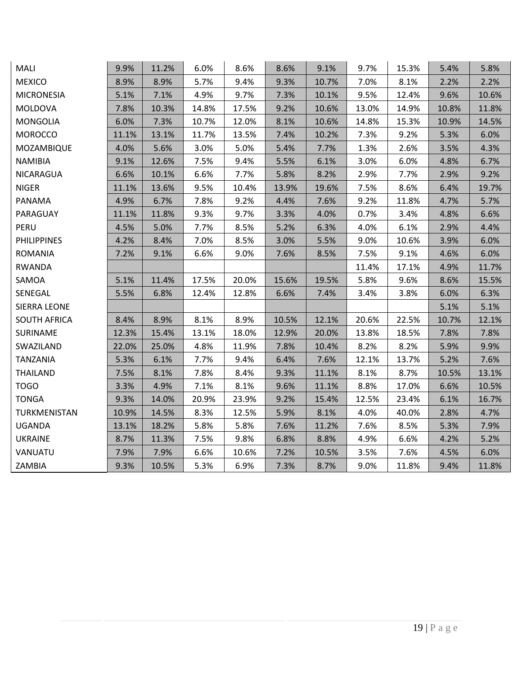| MALI                | 9.9%  | 11.2% | 6.0%  | 8.6%  | 8.6%  | 9.1%  | 9.7%  | 15.3% | 5.4%  | 5.8%  |
|---------------------|-------|-------|-------|-------|-------|-------|-------|-------|-------|-------|
| <b>MEXICO</b>       | 8.9%  | 8.9%  | 5.7%  | 9.4%  | 9.3%  | 10.7% | 7.0%  | 8.1%  | 2.2%  | 2.2%  |
| <b>MICRONESIA</b>   | 5.1%  | 7.1%  | 4.9%  | 9.7%  | 7.3%  | 10.1% | 9.5%  | 12.4% | 9.6%  | 10.6% |
| <b>MOLDOVA</b>      | 7.8%  | 10.3% | 14.8% | 17.5% | 9.2%  | 10.6% | 13.0% | 14.9% | 10.8% | 11.8% |
| <b>MONGOLIA</b>     | 6.0%  | 7.3%  | 10.7% | 12.0% | 8.1%  | 10.6% | 14.8% | 15.3% | 10.9% | 14.5% |
| <b>MOROCCO</b>      | 11.1% | 13.1% | 11.7% | 13.5% | 7.4%  | 10.2% | 7.3%  | 9.2%  | 5.3%  | 6.0%  |
| MOZAMBIQUE          | 4.0%  | 5.6%  | 3.0%  | 5.0%  | 5.4%  | 7.7%  | 1.3%  | 2.6%  | 3.5%  | 4.3%  |
| <b>NAMIBIA</b>      | 9.1%  | 12.6% | 7.5%  | 9.4%  | 5.5%  | 6.1%  | 3.0%  | 6.0%  | 4.8%  | 6.7%  |
| NICARAGUA           | 6.6%  | 10.1% | 6.6%  | 7.7%  | 5.8%  | 8.2%  | 2.9%  | 7.7%  | 2.9%  | 9.2%  |
| <b>NIGER</b>        | 11.1% | 13.6% | 9.5%  | 10.4% | 13.9% | 19.6% | 7.5%  | 8.6%  | 6.4%  | 19.7% |
| PANAMA              | 4.9%  | 6.7%  | 7.8%  | 9.2%  | 4.4%  | 7.6%  | 9.2%  | 11.8% | 4.7%  | 5.7%  |
| PARAGUAY            | 11.1% | 11.8% | 9.3%  | 9.7%  | 3.3%  | 4.0%  | 0.7%  | 3.4%  | 4.8%  | 6.6%  |
| PERU                | 4.5%  | 5.0%  | 7.7%  | 8.5%  | 5.2%  | 6.3%  | 4.0%  | 6.1%  | 2.9%  | 4.4%  |
| <b>PHILIPPINES</b>  | 4.2%  | 8.4%  | 7.0%  | 8.5%  | 3.0%  | 5.5%  | 9.0%  | 10.6% | 3.9%  | 6.0%  |
| <b>ROMANIA</b>      | 7.2%  | 9.1%  | 6.6%  | 9.0%  | 7.6%  | 8.5%  | 7.5%  | 9.1%  | 4.6%  | 6.0%  |
| <b>RWANDA</b>       |       |       |       |       |       |       | 11.4% | 17.1% | 4.9%  | 11.7% |
| SAMOA               | 5.1%  | 11.4% | 17.5% | 20.0% | 15.6% | 19.5% | 5.8%  | 9.6%  | 8.6%  | 15.5% |
| SENEGAL             | 5.5%  | 6.8%  | 12.4% | 12.8% | 6.6%  | 7.4%  | 3.4%  | 3.8%  | 6.0%  | 6.3%  |
| <b>SIERRA LEONE</b> |       |       |       |       |       |       |       |       | 5.1%  | 5.1%  |
| <b>SOUTH AFRICA</b> | 8.4%  | 8.9%  | 8.1%  | 8.9%  | 10.5% | 12.1% | 20.6% | 22.5% | 10.7% | 12.1% |
| SURINAME            | 12.3% | 15.4% | 13.1% | 18.0% | 12.9% | 20.0% | 13.8% | 18.5% | 7.8%  | 7.8%  |
| SWAZILAND           | 22.0% | 25.0% | 4.8%  | 11.9% | 7.8%  | 10.4% | 8.2%  | 8.2%  | 5.9%  | 9.9%  |
| <b>TANZANIA</b>     | 5.3%  | 6.1%  | 7.7%  | 9.4%  | 6.4%  | 7.6%  | 12.1% | 13.7% | 5.2%  | 7.6%  |
| <b>THAILAND</b>     | 7.5%  | 8.1%  | 7.8%  | 8.4%  | 9.3%  | 11.1% | 8.1%  | 8.7%  | 10.5% | 13.1% |
| <b>TOGO</b>         | 3.3%  | 4.9%  | 7.1%  | 8.1%  | 9.6%  | 11.1% | 8.8%  | 17.0% | 6.6%  | 10.5% |
| <b>TONGA</b>        | 9.3%  | 14.0% | 20.9% | 23.9% | 9.2%  | 15.4% | 12.5% | 23.4% | 6.1%  | 16.7% |
| TURKMENISTAN        | 10.9% | 14.5% | 8.3%  | 12.5% | 5.9%  | 8.1%  | 4.0%  | 40.0% | 2.8%  | 4.7%  |
| <b>UGANDA</b>       | 13.1% | 18.2% | 5.8%  | 5.8%  | 7.6%  | 11.2% | 7.6%  | 8.5%  | 5.3%  | 7.9%  |
| <b>UKRAINE</b>      | 8.7%  | 11.3% | 7.5%  | 9.8%  | 6.8%  | 8.8%  | 4.9%  | 6.6%  | 4.2%  | 5.2%  |
| VANUATU             | 7.9%  | 7.9%  | 6.6%  | 10.6% | 7.2%  | 10.5% | 3.5%  | 7.6%  | 4.5%  | 6.0%  |
| ZAMBIA              | 9.3%  | 10.5% | 5.3%  | 6.9%  | 7.3%  | 8.7%  | 9.0%  | 11.8% | 9.4%  | 11.8% |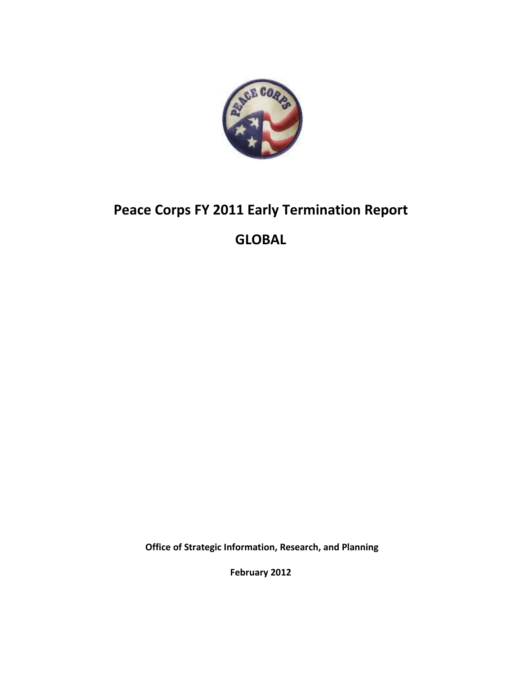

## **Peace Corps FY 2011 Early Termination Report**

## **GLOBAL**

**Office of Strategic Information, Research, and Planning**

**February 2012**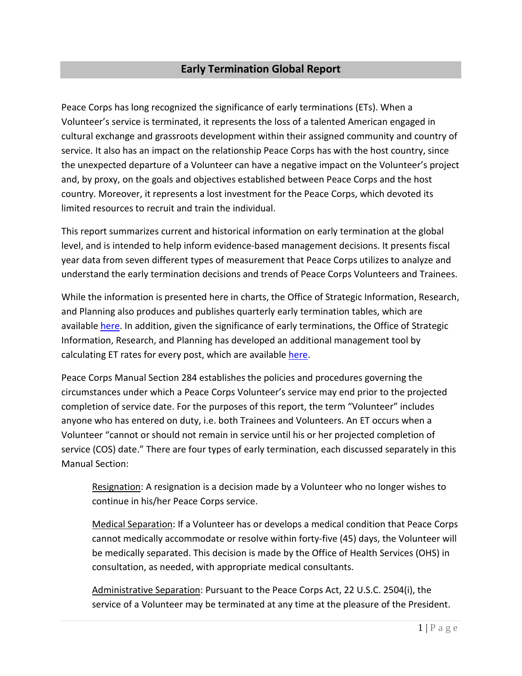## **Early Termination Global Report**

Peace Corps has long recognized the significance of early terminations (ETs). When a Volunteer's service is terminated, it represents the loss of a talented American engaged in cultural exchange and grassroots development within their assigned community and country of service. It also has an impact on the relationship Peace Corps has with the host country, since the unexpected departure of a Volunteer can have a negative impact on the Volunteer's project and, by proxy, on the goals and objectives established between Peace Corps and the host country. Moreover, it represents a lost investment for the Peace Corps, which devoted its limited resources to recruit and train the individual.

This report summarizes current and historical information on early termination at the global level, and is intended to help inform evidence-based management decisions. It presents fiscal year data from seven different types of measurement that Peace Corps utilizes to analyze and understand the early termination decisions and trends of Peace Corps Volunteers and Trainees.

While the information is presented here in charts, the Office of Strategic Information, Research, and Planning also produces and publishes quarterly early termination tables, which are available [here.](http://inside.peacecorps.gov/index.cfm?viewDocument&document_id=24580&filetype=htm) In addition, given the significance of early terminations, the Office of Strategic Information, Research, and Planning has developed an additional management tool by calculating ET rates for every post, which are available [here.](http://inside.peacecorps.gov/index.cfm?viewDocument&document_id=36793&filetype=htm)

Peace Corps Manual Section 284 establishes the policies and procedures governing the circumstances under which a Peace Corps Volunteer's service may end prior to the projected completion of service date. For the purposes of this report, the term "Volunteer" includes anyone who has entered on duty, i.e. both Trainees and Volunteers. An ET occurs when a Volunteer "cannot or should not remain in service until his or her projected completion of service (COS) date." There are four types of early termination, each discussed separately in this Manual Section:

Resignation: A resignation is a decision made by a Volunteer who no longer wishes to continue in his/her Peace Corps service.

Medical Separation: If a Volunteer has or develops a medical condition that Peace Corps cannot medically accommodate or resolve within forty-five (45) days, the Volunteer will be medically separated. This decision is made by the Office of Health Services (OHS) in consultation, as needed, with appropriate medical consultants.

Administrative Separation: Pursuant to the Peace Corps Act, 22 U.S.C. 2504(i), the service of a Volunteer may be terminated at any time at the pleasure of the President.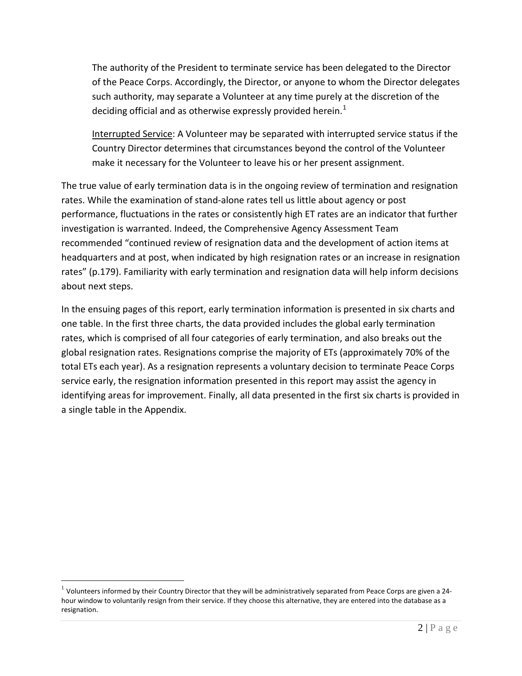The authority of the President to terminate service has been delegated to the Director of the Peace Corps. Accordingly, the Director, or anyone to whom the Director delegates such authority, may separate a Volunteer at any time purely at the discretion of the deciding official and as otherwise expressly provided herein.<sup>[1](#page-28-0)</sup>

Interrupted Service: A Volunteer may be separated with interrupted service status if the Country Director determines that circumstances beyond the control of the Volunteer make it necessary for the Volunteer to leave his or her present assignment.

The true value of early termination data is in the ongoing review of termination and resignation rates. While the examination of stand-alone rates tell us little about agency or post performance, fluctuations in the rates or consistently high ET rates are an indicator that further investigation is warranted. Indeed, the Comprehensive Agency Assessment Team recommended "continued review of resignation data and the development of action items at headquarters and at post, when indicated by high resignation rates or an increase in resignation rates" (p.179). Familiarity with early termination and resignation data will help inform decisions about next steps.

In the ensuing pages of this report, early termination information is presented in six charts and one table. In the first three charts, the data provided includes the global early termination rates, which is comprised of all four categories of early termination, and also breaks out the global resignation rates. Resignations comprise the majority of ETs (approximately 70% of the total ETs each year). As a resignation represents a voluntary decision to terminate Peace Corps service early, the resignation information presented in this report may assist the agency in identifying areas for improvement. Finally, all data presented in the first six charts is provided in a single table in the Appendix.

<span id="page-28-0"></span> $1$  Volunteers informed by their Country Director that they will be administratively separated from Peace Corps are given a 24hour window to voluntarily resign from their service. If they choose this alternative, they are entered into the database as a resignation.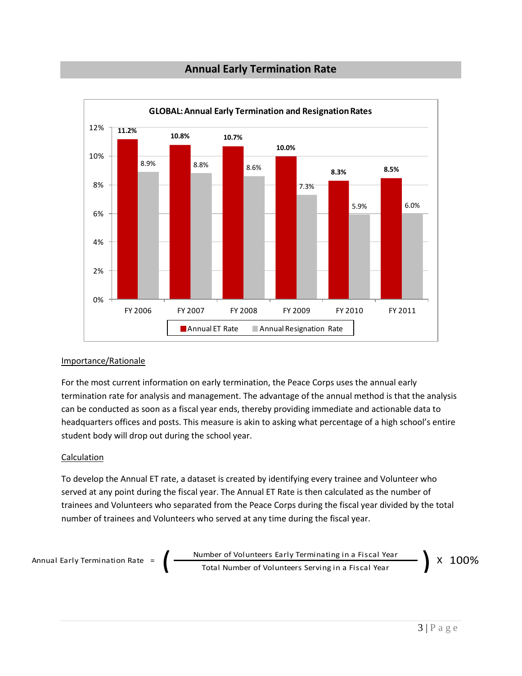## **Annual Early Termination Rate**



#### Importance/Rationale

For the most current information on early termination, the Peace Corps uses the annual early termination rate for analysis and management. The advantage of the annual method is that the analysis can be conducted as soon as a fiscal year ends, thereby providing immediate and actionable data to headquarters offices and posts. This measure is akin to asking what percentage of a high school's entire student body will drop out during the school year.

#### **Calculation**

To develop the Annual ET rate, a dataset is created by identifying every trainee and Volunteer who served at any point during the fiscal year. The Annual ET Rate is then calculated as the number of trainees and Volunteers who separated from the Peace Corps during the fiscal year divided by the total number of trainees and Volunteers who served at any time during the fiscal year.

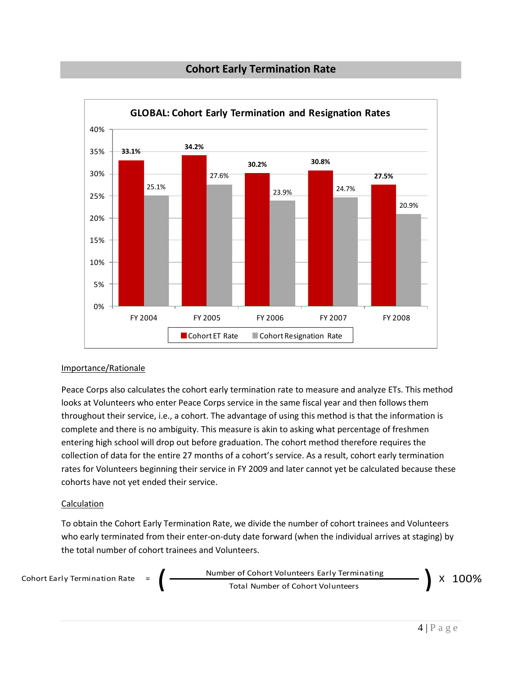## **Cohort Early Termination Rate**



#### Importance/Rationale

Peace Corps also calculates the cohort early termination rate to measure and analyze ETs. This method looks at Volunteers who enter Peace Corps service in the same fiscal year and then follows them throughout their service, i.e., a cohort. The advantage of using this method is that the information is complete and there is no ambiguity. This measure is akin to asking what percentage of freshmen entering high school will drop out before graduation. The cohort method therefore requires the collection of data for the entire 27 months of a cohort's service. As a result, cohort early termination rates for Volunteers beginning their service in FY 2009 and later cannot yet be calculated because these cohorts have not yet ended their service.

#### Calculation

To obtain the Cohort Early Termination Rate, we divide the number of cohort trainees and Volunteers who early terminated from their enter-on-duty date forward (when the individual arrives at staging) by the total number of cohort trainees and Volunteers.

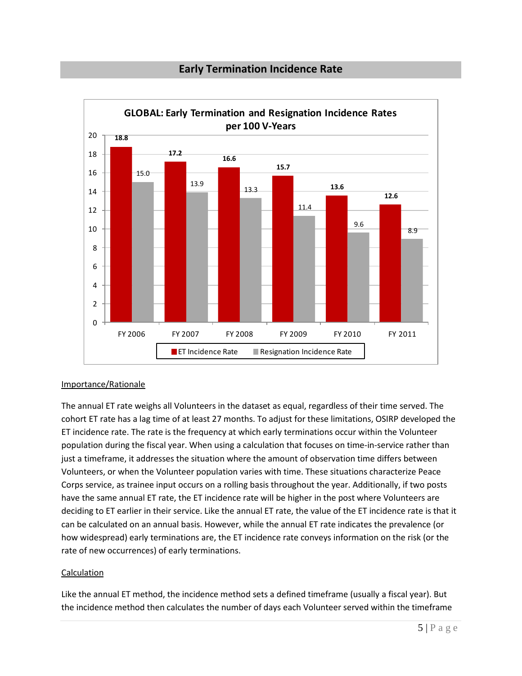### **Early Termination Incidence Rate**



#### Importance/Rationale

The annual ET rate weighs all Volunteers in the dataset as equal, regardless of their time served. The cohort ET rate has a lag time of at least 27 months. To adjust for these limitations, OSIRP developed the ET incidence rate. The rate is the frequency at which early terminations occur within the Volunteer population during the fiscal year. When using a calculation that focuses on time-in-service rather than just a timeframe, it addresses the situation where the amount of observation time differs between Volunteers, or when the Volunteer population varies with time. These situations characterize Peace Corps service, as trainee input occurs on a rolling basis throughout the year. Additionally, if two posts have the same annual ET rate, the ET incidence rate will be higher in the post where Volunteers are deciding to ET earlier in their service. Like the annual ET rate, the value of the ET incidence rate is that it can be calculated on an annual basis. However, while the annual ET rate indicates the prevalence (or how widespread) early terminations are, the ET incidence rate conveys information on the risk (or the rate of new occurrences) of early terminations.

#### **Calculation**

Like the annual ET method, the incidence method sets a defined timeframe (usually a fiscal year). But the incidence method then calculates the number of days each Volunteer served within the timeframe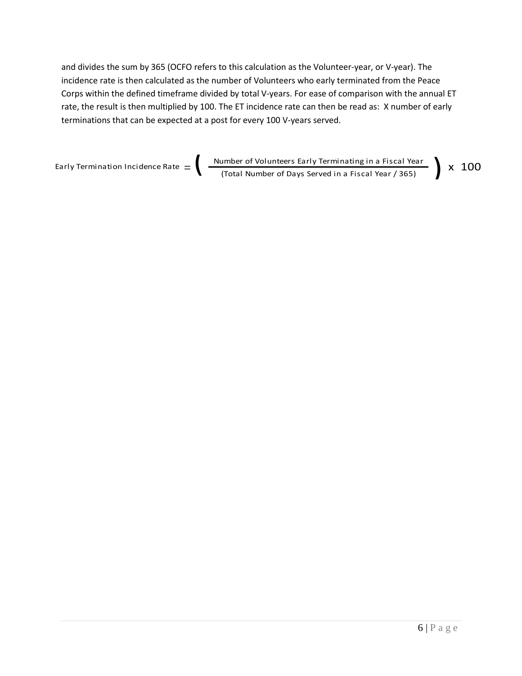and divides the sum by 365 (OCFO refers to this calculation as the Volunteer-year, or V-year). The incidence rate is then calculated as the number of Volunteers who early terminated from the Peace Corps within the defined timeframe divided by total V-years. For ease of comparison with the annual ET rate, the result is then multiplied by 100. The ET incidence rate can then be read as: X number of early terminations that can be expected at a post for every 100 V-years served.

Number of Volunteers Early Terminating in a Fiscal Year Early Termination Incidence Rate  $=$   $\left\{ \begin{array}{l} \frac{\hbox{Number of Volumbers Early Terminating in a Fiscal Year}}{\hbox{(Total Number of Days Served in a Fiscal Year / 365)}} \end{array} \right\} \times \ 100$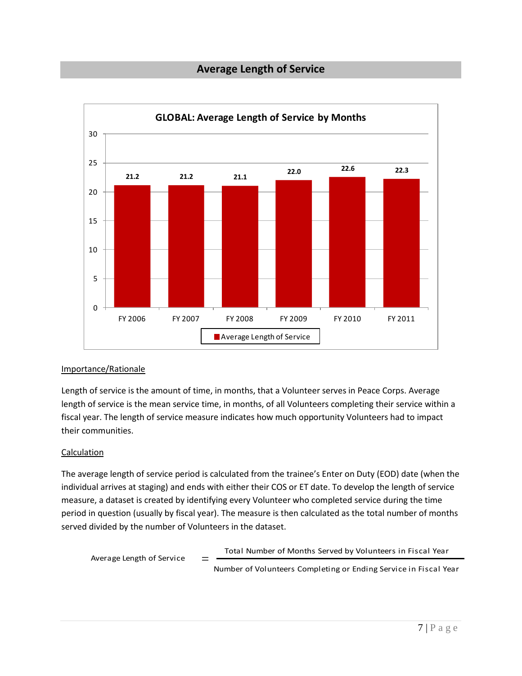## **Average Length of Service**



#### Importance/Rationale

Length of service is the amount of time, in months, that a Volunteer serves in Peace Corps. Average length of service is the mean service time, in months, of all Volunteers completing their service within a fiscal year. The length of service measure indicates how much opportunity Volunteers had to impact their communities.

#### Calculation

The average length of service period is calculated from the trainee's Enter on Duty (EOD) date (when the individual arrives at staging) and ends with either their COS or ET date. To develop the length of service measure, a dataset is created by identifying every Volunteer who completed service during the time period in question (usually by fiscal year). The measure is then calculated as the total number of months served divided by the number of Volunteers in the dataset.

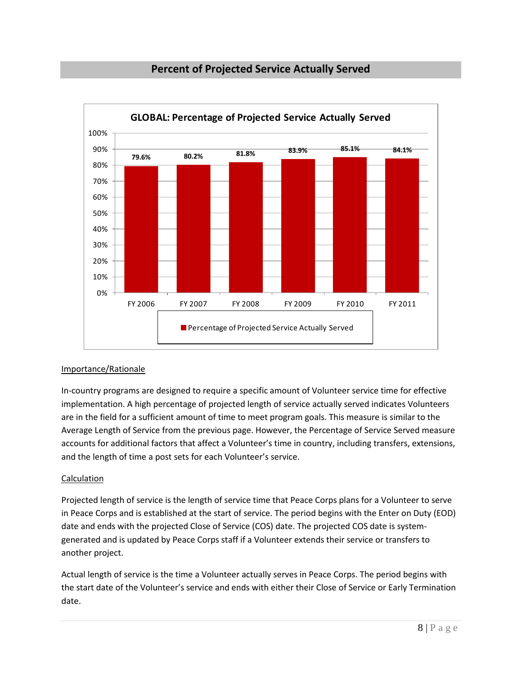

## **Percent of Projected Service Actually Served**

### Importance/Rationale

In-country programs are designed to require a specific amount of Volunteer service time for effective implementation. A high percentage of projected length of service actually served indicates Volunteers are in the field for a sufficient amount of time to meet program goals. This measure is similar to the Average Length of Service from the previous page. However, the Percentage of Service Served measure accounts for additional factors that affect a Volunteer's time in country, including transfers, extensions, and the length of time a post sets for each Volunteer's service.

### Calculation

Projected length of service is the length of service time that Peace Corps plans for a Volunteer to serve in Peace Corps and is established at the start of service. The period begins with the Enter on Duty (EOD) date and ends with the projected Close of Service (COS) date. The projected COS date is systemgenerated and is updated by Peace Corps staff if a Volunteer extends their service or transfers to another project.

Actual length of service is the time a Volunteer actually serves in Peace Corps. The period begins with the start date of the Volunteer's service and ends with either their Close of Service or Early Termination date.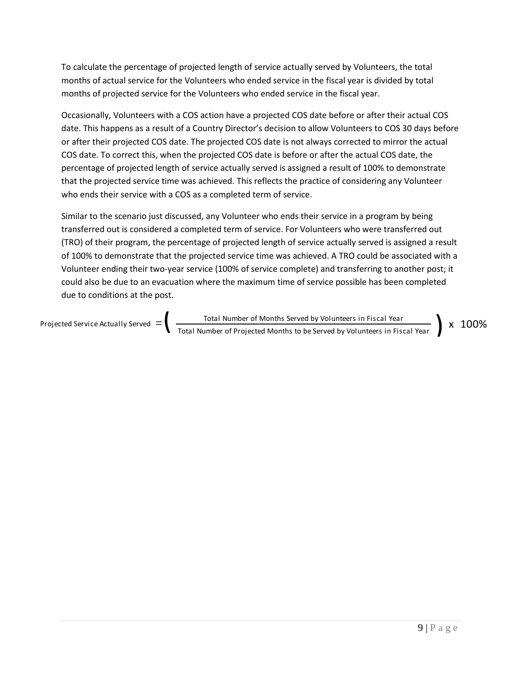To calculate the percentage of projected length of service actually served by Volunteers, the total months of actual service for the Volunteers who ended service in the fiscal year is divided by total months of projected service for the Volunteers who ended service in the fiscal year.

Occasionally, Volunteers with a COS action have a projected COS date before or after their actual COS date. This happens as a result of a Country Director's decision to allow Volunteers to COS 30 days before or after their projected COS date. The projected COS date is not always corrected to mirror the actual COS date. To correct this, when the projected COS date is before or after the actual COS date, the percentage of projected length of service actually served is assigned a result of 100% to demonstrate that the projected service time was achieved. This reflects the practice of considering any Volunteer who ends their service with a COS as a completed term of service.

Similar to the scenario just discussed, any Volunteer who ends their service in a program by being transferred out is considered a completed term of service. For Volunteers who were transferred out (TRO) of their program, the percentage of projected length of service actually served is assigned a result of 100% to demonstrate that the projected service time was achieved. A TRO could be associated with a Volunteer ending their two-year service (100% of service complete) and transferring to another post; it could also be due to an evacuation where the maximum time of service possible has been completed due to conditions at the post.

Total Number of Months Served by Volunteers in Fiscal Year Projected Service Actually Served  $=$   $\left\{ \begin{array}{l} \frac{1}{\sqrt{1-\frac{1}{\sqrt{1-\frac{1}{\sqrt{1-\frac{1}{\sqrt{1-\frac{1}{\sqrt{1-\frac{1}{\sqrt{1-\frac{1}{\sqrt{1-\frac{1}{\sqrt{1-\frac{1}{\sqrt{1-\frac{1}{\sqrt{1-\frac{1}{\sqrt{1-\frac{1}{\sqrt{1-\frac{1}{\sqrt{1-\frac{1}{\sqrt{1-\frac{1}{\sqrt{1-\frac{1}{\sqrt{1-\frac{1}{\sqrt{1-\frac{1}{\sqrt{1-\frac{1}{\sqrt{1$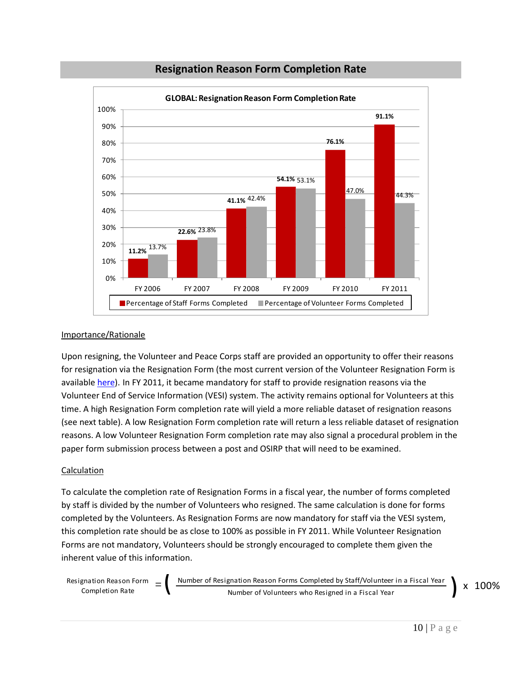

## **Resignation Reason Form Completion Rate**

#### Importance/Rationale

Upon resigning, the Volunteer and Peace Corps staff are provided an opportunity to offer their reasons for resignation via the Resignation Form (the most current version of the Volunteer Resignation Form is available [here\)](http://inside.peacecorps.gov/index.cfm?viewDocument&document_id=16892&filetype=doc). In FY 2011, it became mandatory for staff to provide resignation reasons via the Volunteer End of Service Information (VESI) system. The activity remains optional for Volunteers at this time. A high Resignation Form completion rate will yield a more reliable dataset of resignation reasons (see next table). A low Resignation Form completion rate will return a less reliable dataset of resignation reasons. A low Volunteer Resignation Form completion rate may also signal a procedural problem in the paper form submission process between a post and OSIRP that will need to be examined.

#### Calculation

To calculate the completion rate of Resignation Forms in a fiscal year, the number of forms completed by staff is divided by the number of Volunteers who resigned. The same calculation is done for forms completed by the Volunteers. As Resignation Forms are now mandatory for staff via the VESI system, this completion rate should be as close to 100% as possible in FY 2011. While Volunteer Resignation Forms are not mandatory, Volunteers should be strongly encouraged to complete them given the inherent value of this information.

Resignation Reason Form  $=$   $\frac{N$ umber of Resignation Reason Forms Completed by Staff/Volunteer in a Fiscal Year x 100% Number of Volunteers who Resigned in a Fiscal Year gnation Reason Form  $\alpha = \left( \begin{array}{c} \frac{Number}{i} \text{Number of Resignation Reason Forms} \text{Completed by Staff/Volume in a Fiscal Year} \end{array} \right)$  X

 $10$  | P a g e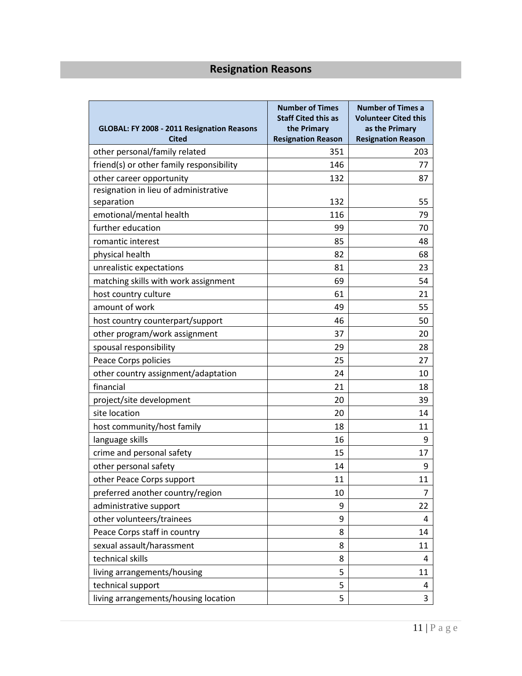## **Resignation Reasons**

| GLOBAL: FY 2008 - 2011 Resignation Reasons<br><b>Cited</b> | <b>Number of Times</b><br><b>Staff Cited this as</b><br>the Primary<br><b>Resignation Reason</b> | <b>Number of Times a</b><br><b>Volunteer Cited this</b><br>as the Primary<br><b>Resignation Reason</b> |
|------------------------------------------------------------|--------------------------------------------------------------------------------------------------|--------------------------------------------------------------------------------------------------------|
| other personal/family related                              | 351                                                                                              | 203                                                                                                    |
| friend(s) or other family responsibility                   | 146                                                                                              | 77                                                                                                     |
| other career opportunity                                   | 132                                                                                              | 87                                                                                                     |
| resignation in lieu of administrative                      |                                                                                                  |                                                                                                        |
| separation                                                 | 132                                                                                              | 55                                                                                                     |
| emotional/mental health                                    | 116                                                                                              | 79                                                                                                     |
| further education                                          | 99                                                                                               | 70                                                                                                     |
| romantic interest                                          | 85                                                                                               | 48                                                                                                     |
| physical health                                            | 82                                                                                               | 68                                                                                                     |
| unrealistic expectations                                   | 81                                                                                               | 23                                                                                                     |
| matching skills with work assignment                       | 69                                                                                               | 54                                                                                                     |
| host country culture                                       | 61                                                                                               | 21                                                                                                     |
| amount of work                                             | 49                                                                                               | 55                                                                                                     |
| host country counterpart/support                           | 46                                                                                               | 50                                                                                                     |
| other program/work assignment                              | 37                                                                                               | 20                                                                                                     |
| spousal responsibility                                     | 29                                                                                               | 28                                                                                                     |
| Peace Corps policies                                       | 25                                                                                               | 27                                                                                                     |
| other country assignment/adaptation                        | 24                                                                                               | 10                                                                                                     |
| financial                                                  | 21                                                                                               | 18                                                                                                     |
| project/site development                                   | 20                                                                                               | 39                                                                                                     |
| site location                                              | 20                                                                                               | 14                                                                                                     |
| host community/host family                                 | 18                                                                                               | 11                                                                                                     |
| language skills                                            | 16                                                                                               | 9                                                                                                      |
| crime and personal safety                                  | 15                                                                                               | 17                                                                                                     |
| other personal safety                                      | 14                                                                                               | 9                                                                                                      |
| other Peace Corps support                                  | 11                                                                                               | 11                                                                                                     |
| preferred another country/region                           | 10                                                                                               | 7                                                                                                      |
| administrative support                                     | 9                                                                                                | 22                                                                                                     |
| other volunteers/trainees                                  | 9                                                                                                | 4                                                                                                      |
| Peace Corps staff in country                               | 8                                                                                                | 14                                                                                                     |
| sexual assault/harassment                                  | 8                                                                                                | 11                                                                                                     |
| technical skills                                           | 8                                                                                                | 4                                                                                                      |
| living arrangements/housing                                | 5                                                                                                | 11                                                                                                     |
| technical support                                          | 5                                                                                                | 4                                                                                                      |
| living arrangements/housing location                       | 5                                                                                                | 3                                                                                                      |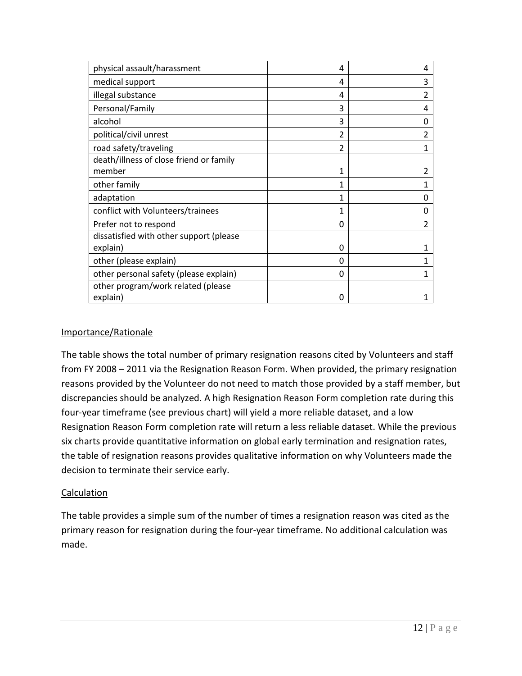| physical assault/harassment             | 4              | 4 |
|-----------------------------------------|----------------|---|
| medical support                         | 4              | 3 |
| illegal substance                       | 4              | 2 |
| Personal/Family                         | 3              | 4 |
| alcohol                                 | 3              | O |
| political/civil unrest                  | $\overline{2}$ | 2 |
| road safety/traveling                   | $\overline{2}$ |   |
| death/illness of close friend or family |                |   |
| member                                  | 1              |   |
| other family                            | 1              |   |
| adaptation                              | 1              |   |
| conflict with Volunteers/trainees       | 1              | 0 |
| Prefer not to respond                   | $\Omega$       | 2 |
| dissatisfied with other support (please |                |   |
| explain)                                | $\Omega$       |   |
| other (please explain)                  | $\Omega$       |   |
| other personal safety (please explain)  | 0              |   |
| other program/work related (please      |                |   |
| explain)                                | ∩              |   |

#### Importance/Rationale

The table shows the total number of primary resignation reasons cited by Volunteers and staff from FY 2008 – 2011 via the Resignation Reason Form. When provided, the primary resignation reasons provided by the Volunteer do not need to match those provided by a staff member, but discrepancies should be analyzed. A high Resignation Reason Form completion rate during this four-year timeframe (see previous chart) will yield a more reliable dataset, and a low Resignation Reason Form completion rate will return a less reliable dataset. While the previous six charts provide quantitative information on global early termination and resignation rates, the table of resignation reasons provides qualitative information on why Volunteers made the decision to terminate their service early.

### **Calculation**

The table provides a simple sum of the number of times a resignation reason was cited as the primary reason for resignation during the four-year timeframe. No additional calculation was made.